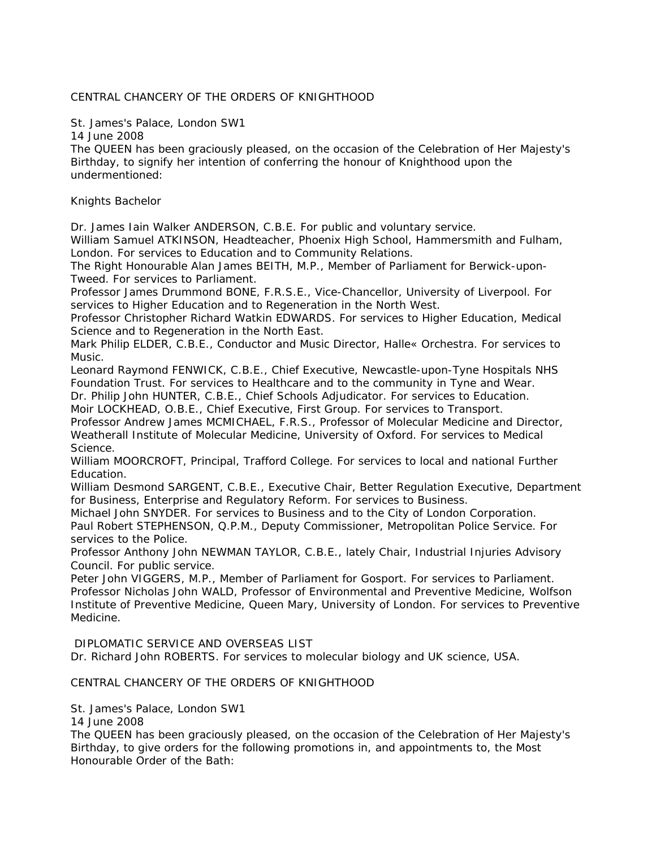## CENTRAL CHANCERY OF THE ORDERS OF KNIGHTHOOD

St. James's Palace, London SW1

14 June 2008

The QUEEN has been graciously pleased, on the occasion of the Celebration of Her Majesty's Birthday, to signify her intention of conferring the honour of Knighthood upon the undermentioned:

Knights Bachelor

Dr. James Iain Walker ANDERSON, C.B.E. For public and voluntary service.

William Samuel ATKINSON, Headteacher, Phoenix High School, Hammersmith and Fulham, London. For services to Education and to Community Relations.

The Right Honourable Alan James BEITH, M.P., Member of Parliament for Berwick-upon-Tweed. For services to Parliament.

Professor James Drummond BONE, F.R.S.E., Vice-Chancellor, University of Liverpool. For services to Higher Education and to Regeneration in the North West.

Professor Christopher Richard Watkin EDWARDS. For services to Higher Education, Medical Science and to Regeneration in the North East.

Mark Philip ELDER, C.B.E., Conductor and Music Director, Halle« Orchestra. For services to Music.

Leonard Raymond FENWICK, C.B.E., Chief Executive, Newcastle-upon-Tyne Hospitals NHS Foundation Trust. For services to Healthcare and to the community in Tyne and Wear.

Dr. Philip John HUNTER, C.B.E., Chief Schools Adjudicator. For services to Education.

Moir LOCKHEAD, O.B.E., Chief Executive, First Group. For services to Transport.

Professor Andrew James MCMICHAEL, F.R.S., Professor of Molecular Medicine and Director, Weatherall Institute of Molecular Medicine, University of Oxford. For services to Medical Science.

William MOORCROFT, Principal, Trafford College. For services to local and national Further Education.

William Desmond SARGENT, C.B.E., Executive Chair, Better Regulation Executive, Department for Business, Enterprise and Regulatory Reform. For services to Business.

Michael John SNYDER. For services to Business and to the City of London Corporation. Paul Robert STEPHENSON, Q.P.M., Deputy Commissioner, Metropolitan Police Service. For services to the Police.

Professor Anthony John NEWMAN TAYLOR, C.B.E., lately Chair, Industrial Injuries Advisory Council. For public service.

Peter John VIGGERS, M.P., Member of Parliament for Gosport. For services to Parliament. Professor Nicholas John WALD, Professor of Environmental and Preventive Medicine, Wolfson Institute of Preventive Medicine, Queen Mary, University of London. For services to Preventive Medicine.

DIPLOMATIC SERVICE AND OVERSEAS LIST

Dr. Richard John ROBERTS. For services to molecular biology and UK science, USA.

## CENTRAL CHANCERY OF THE ORDERS OF KNIGHTHOOD

St. James's Palace, London SW1

14 June 2008

The QUEEN has been graciously pleased, on the occasion of the Celebration of Her Majesty's Birthday, to give orders for the following promotions in, and appointments to, the Most Honourable Order of the Bath: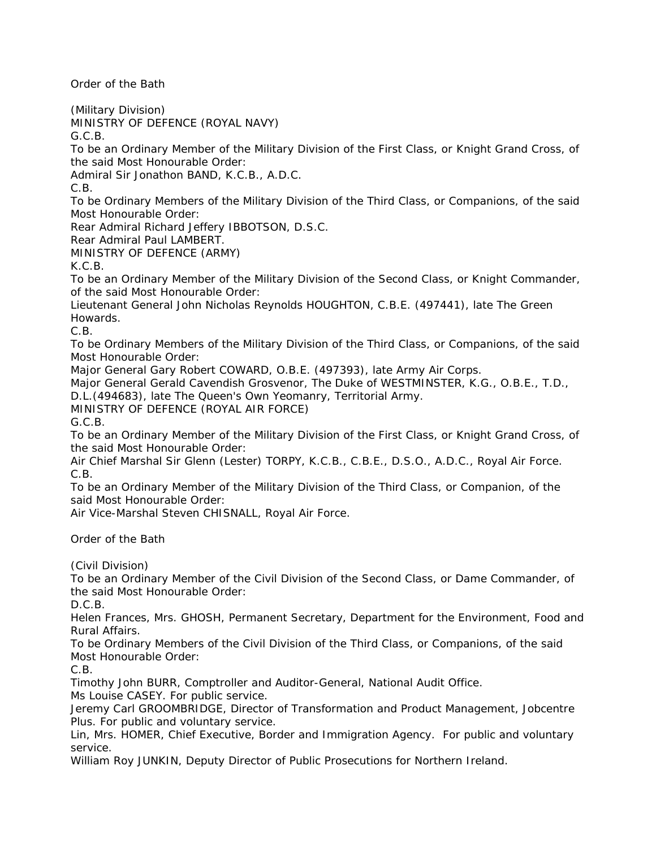Order of the Bath

(Military Division) MINISTRY OF DEFENCE (ROYAL NAVY) G.C.B.

To be an Ordinary Member of the Military Division of the First Class, or Knight Grand Cross, of the said Most Honourable Order:

Admiral Sir Jonathon BAND, K.C.B., A.D.C.

C.B.

To be Ordinary Members of the Military Division of the Third Class, or Companions, of the said Most Honourable Order:

Rear Admiral Richard Jeffery IBBOTSON, D.S.C.

Rear Admiral Paul LAMBERT.

MINISTRY OF DEFENCE (ARMY)

K.C.B.

To be an Ordinary Member of the Military Division of the Second Class, or Knight Commander, of the said Most Honourable Order:

Lieutenant General John Nicholas Reynolds HOUGHTON, C.B.E. (497441), late The Green Howards.

C.B.

To be Ordinary Members of the Military Division of the Third Class, or Companions, of the said Most Honourable Order:

Major General Gary Robert COWARD, O.B.E. (497393), late Army Air Corps.

Major General Gerald Cavendish Grosvenor, The Duke of WESTMINSTER, K.G., O.B.E., T.D.,

D.L.(494683), late The Queen's Own Yeomanry, Territorial Army.

MINISTRY OF DEFENCE (ROYAL AIR FORCE)

G.C.B.

To be an Ordinary Member of the Military Division of the First Class, or Knight Grand Cross, of the said Most Honourable Order:

Air Chief Marshal Sir Glenn (Lester) TORPY, K.C.B., C.B.E., D.S.O., A.D.C., Royal Air Force. C.B.

To be an Ordinary Member of the Military Division of the Third Class, or Companion, of the said Most Honourable Order:

Air Vice-Marshal Steven CHISNALL, Royal Air Force.

Order of the Bath

(Civil Division)

To be an Ordinary Member of the Civil Division of the Second Class, or Dame Commander, of the said Most Honourable Order:

D.C.B.

Helen Frances, Mrs. GHOSH, Permanent Secretary, Department for the Environment, Food and Rural Affairs.

To be Ordinary Members of the Civil Division of the Third Class, or Companions, of the said Most Honourable Order:

C.B.

Timothy John BURR, Comptroller and Auditor-General, National Audit Office.

Ms Louise CASEY. For public service.

Jeremy Carl GROOMBRIDGE, Director of Transformation and Product Management, Jobcentre Plus. For public and voluntary service.

Lin, Mrs. HOMER, Chief Executive, Border and Immigration Agency. For public and voluntary service.

William Roy JUNKIN, Deputy Director of Public Prosecutions for Northern Ireland.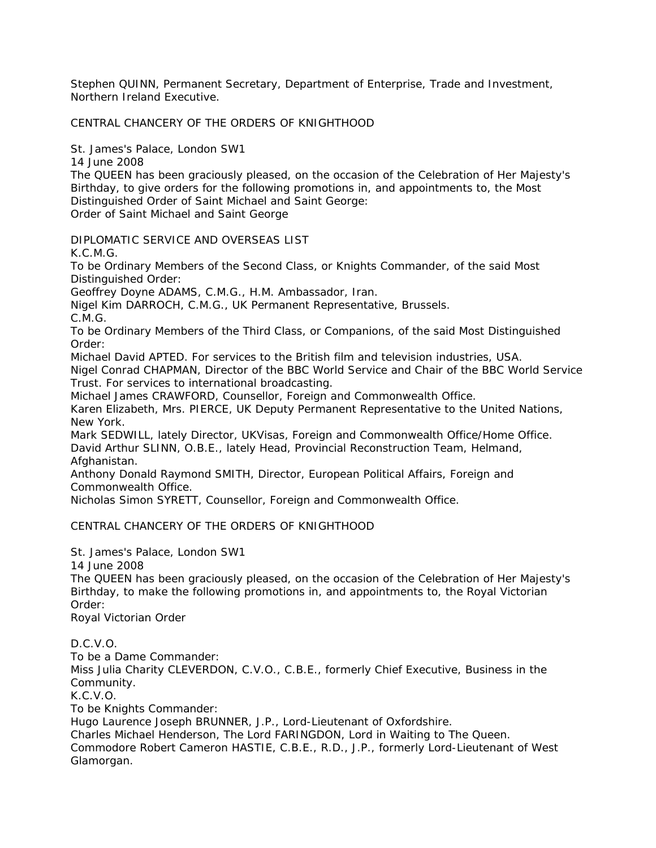Stephen QUINN, Permanent Secretary, Department of Enterprise, Trade and Investment, Northern Ireland Executive.

CENTRAL CHANCERY OF THE ORDERS OF KNIGHTHOOD

St. James's Palace, London SW1

14 June 2008

The QUEEN has been graciously pleased, on the occasion of the Celebration of Her Majesty's Birthday, to give orders for the following promotions in, and appointments to, the Most Distinguished Order of Saint Michael and Saint George: Order of Saint Michael and Saint George

DIPLOMATIC SERVICE AND OVERSEAS LIST

K.C.M.G.

To be Ordinary Members of the Second Class, or Knights Commander, of the said Most Distinguished Order:

Geoffrey Doyne ADAMS, C.M.G., H.M. Ambassador, Iran.

Nigel Kim DARROCH, C.M.G., UK Permanent Representative, Brussels.

C.M.G.

To be Ordinary Members of the Third Class, or Companions, of the said Most Distinguished Order:

Michael David APTED. For services to the British film and television industries, USA.

Nigel Conrad CHAPMAN, Director of the BBC World Service and Chair of the BBC World Service Trust. For services to international broadcasting.

Michael James CRAWFORD, Counsellor, Foreign and Commonwealth Office.

Karen Elizabeth, Mrs. PIERCE, UK Deputy Permanent Representative to the United Nations, New York.

Mark SEDWILL, lately Director, UKVisas, Foreign and Commonwealth Office/Home Office. David Arthur SLINN, O.B.E., lately Head, Provincial Reconstruction Team, Helmand, Afghanistan.

Anthony Donald Raymond SMITH, Director, European Political Affairs, Foreign and Commonwealth Office.

Nicholas Simon SYRETT, Counsellor, Foreign and Commonwealth Office.

## CENTRAL CHANCERY OF THE ORDERS OF KNIGHTHOOD

St. James's Palace, London SW1

14 June 2008

The QUEEN has been graciously pleased, on the occasion of the Celebration of Her Majesty's Birthday, to make the following promotions in, and appointments to, the Royal Victorian Order:

Royal Victorian Order

D.C.V.O.

To be a Dame Commander:

Miss Julia Charity CLEVERDON, C.V.O., C.B.E., formerly Chief Executive, Business in the Community.

K.C.V.O.

To be Knights Commander:

Hugo Laurence Joseph BRUNNER, J.P., Lord-Lieutenant of Oxfordshire.

Charles Michael Henderson, The Lord FARINGDON, Lord in Waiting to The Queen.

Commodore Robert Cameron HASTIE, C.B.E., R.D., J.P., formerly Lord-Lieutenant of West Glamorgan.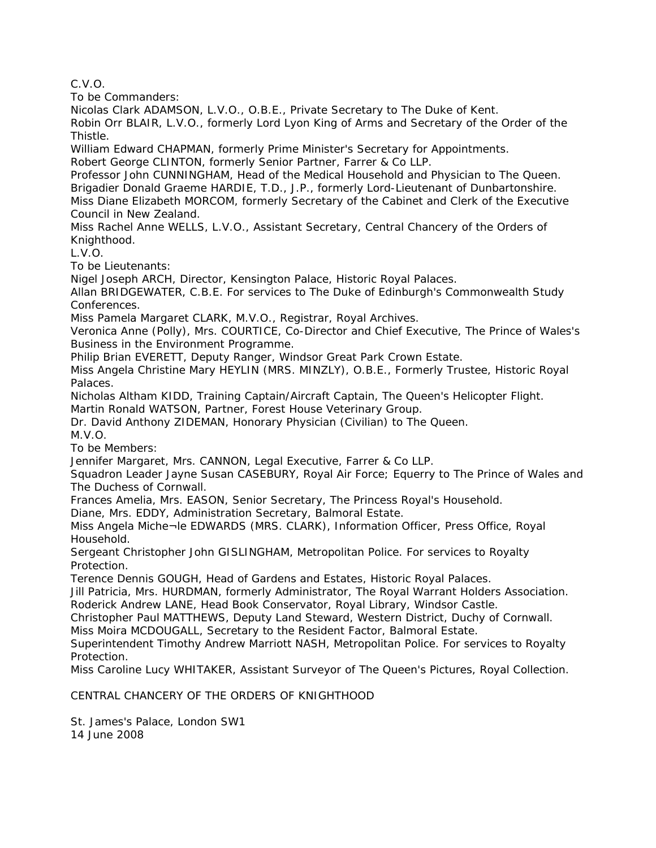C.V.O.

To be Commanders:

Nicolas Clark ADAMSON, L.V.O., O.B.E., Private Secretary to The Duke of Kent.

Robin Orr BLAIR, L.V.O., formerly Lord Lyon King of Arms and Secretary of the Order of the Thistle.

William Edward CHAPMAN, formerly Prime Minister's Secretary for Appointments.

Robert George CLINTON, formerly Senior Partner, Farrer & Co LLP.

Professor John CUNNINGHAM, Head of the Medical Household and Physician to The Queen. Brigadier Donald Graeme HARDIE, T.D., J.P., formerly Lord-Lieutenant of Dunbartonshire. Miss Diane Elizabeth MORCOM, formerly Secretary of the Cabinet and Clerk of the Executive Council in New Zealand.

Miss Rachel Anne WELLS, L.V.O., Assistant Secretary, Central Chancery of the Orders of Knighthood.

L.V.O.

To be Lieutenants:

Nigel Joseph ARCH, Director, Kensington Palace, Historic Royal Palaces.

Allan BRIDGEWATER, C.B.E. For services to The Duke of Edinburgh's Commonwealth Study Conferences.

Miss Pamela Margaret CLARK, M.V.O., Registrar, Royal Archives.

Veronica Anne (Polly), Mrs. COURTICE, Co-Director and Chief Executive, The Prince of Wales's Business in the Environment Programme.

Philip Brian EVERETT, Deputy Ranger, Windsor Great Park Crown Estate.

Miss Angela Christine Mary HEYLIN (MRS. MINZLY), O.B.E., Formerly Trustee, Historic Royal Palaces.

Nicholas Altham KIDD, Training Captain/Aircraft Captain, The Queen's Helicopter Flight.

Martin Ronald WATSON, Partner, Forest House Veterinary Group.

Dr. David Anthony ZIDEMAN, Honorary Physician (Civilian) to The Queen. M.V.O.

To be Members:

Jennifer Margaret, Mrs. CANNON, Legal Executive, Farrer & Co LLP.

Squadron Leader Jayne Susan CASEBURY, Royal Air Force; Equerry to The Prince of Wales and The Duchess of Cornwall.

Frances Amelia, Mrs. EASON, Senior Secretary, The Princess Royal's Household.

Diane, Mrs. EDDY, Administration Secretary, Balmoral Estate.

Miss Angela Miche¬le EDWARDS (MRS. CLARK), Information Officer, Press Office, Royal Household.

Sergeant Christopher John GISLINGHAM, Metropolitan Police. For services to Royalty Protection.

Terence Dennis GOUGH, Head of Gardens and Estates, Historic Royal Palaces.

Jill Patricia, Mrs. HURDMAN, formerly Administrator, The Royal Warrant Holders Association. Roderick Andrew LANE, Head Book Conservator, Royal Library, Windsor Castle.

Christopher Paul MATTHEWS, Deputy Land Steward, Western District, Duchy of Cornwall.

Miss Moira MCDOUGALL, Secretary to the Resident Factor, Balmoral Estate.

Superintendent Timothy Andrew Marriott NASH, Metropolitan Police. For services to Royalty **Protection** 

Miss Caroline Lucy WHITAKER, Assistant Surveyor of The Queen's Pictures, Royal Collection.

CENTRAL CHANCERY OF THE ORDERS OF KNIGHTHOOD

St. James's Palace, London SW1 14 June 2008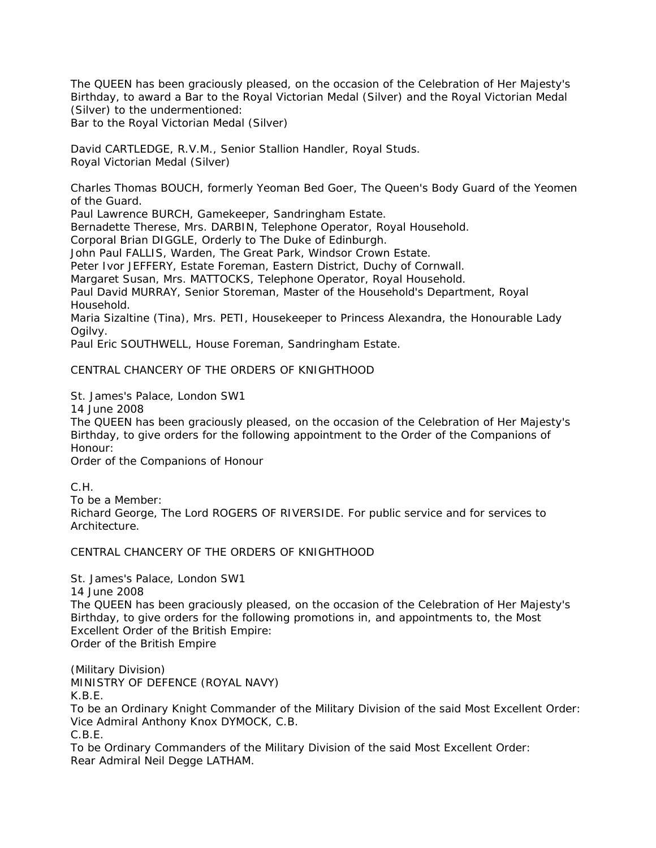The QUEEN has been graciously pleased, on the occasion of the Celebration of Her Majesty's Birthday, to award a Bar to the Royal Victorian Medal (Silver) and the Royal Victorian Medal (Silver) to the undermentioned:

Bar to the Royal Victorian Medal (Silver)

David CARTLEDGE, R.V.M., Senior Stallion Handler, Royal Studs. Royal Victorian Medal (Silver)

Charles Thomas BOUCH, formerly Yeoman Bed Goer, The Queen's Body Guard of the Yeomen of the Guard.

Paul Lawrence BURCH, Gamekeeper, Sandringham Estate.

Bernadette Therese, Mrs. DARBIN, Telephone Operator, Royal Household.

Corporal Brian DIGGLE, Orderly to The Duke of Edinburgh.

John Paul FALLIS, Warden, The Great Park, Windsor Crown Estate.

Peter Ivor JEFFERY, Estate Foreman, Eastern District, Duchy of Cornwall.

Margaret Susan, Mrs. MATTOCKS, Telephone Operator, Royal Household.

Paul David MURRAY, Senior Storeman, Master of the Household's Department, Royal Household.

Maria Sizaltine (Tina), Mrs. PETI, Housekeeper to Princess Alexandra, the Honourable Lady Ogilvy.

Paul Eric SOUTHWELL, House Foreman, Sandringham Estate.

CENTRAL CHANCERY OF THE ORDERS OF KNIGHTHOOD

St. James's Palace, London SW1

14 June 2008

The QUEEN has been graciously pleased, on the occasion of the Celebration of Her Majesty's Birthday, to give orders for the following appointment to the Order of the Companions of Honour:

Order of the Companions of Honour

C.H.

To be a Member: Richard George, The Lord ROGERS OF RIVERSIDE. For public service and for services to Architecture.

CENTRAL CHANCERY OF THE ORDERS OF KNIGHTHOOD

St. James's Palace, London SW1

14 June 2008

The QUEEN has been graciously pleased, on the occasion of the Celebration of Her Majesty's Birthday, to give orders for the following promotions in, and appointments to, the Most Excellent Order of the British Empire: Order of the British Empire

(Military Division) MINISTRY OF DEFENCE (ROYAL NAVY) K.B.E. To be an Ordinary Knight Commander of the Military Division of the said Most Excellent Order:

Vice Admiral Anthony Knox DYMOCK, C.B.

C.B.E.

To be Ordinary Commanders of the Military Division of the said Most Excellent Order: Rear Admiral Neil Degge LATHAM.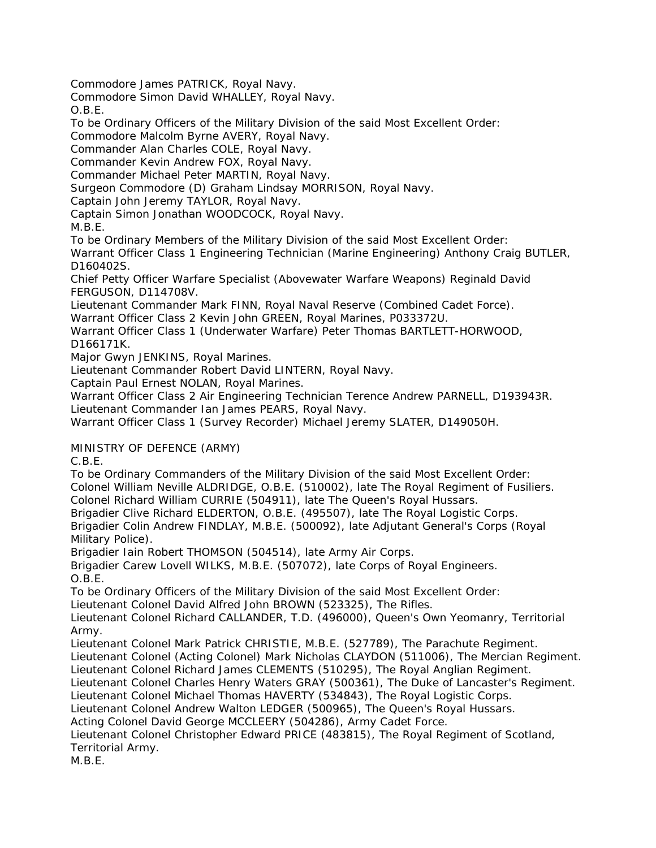Commodore James PATRICK, Royal Navy.

Commodore Simon David WHALLEY, Royal Navy.

O.B.E.

To be Ordinary Officers of the Military Division of the said Most Excellent Order:

Commodore Malcolm Byrne AVERY, Royal Navy.

Commander Alan Charles COLE, Royal Navy.

Commander Kevin Andrew FOX, Royal Navy.

Commander Michael Peter MARTIN, Royal Navy.

Surgeon Commodore (D) Graham Lindsay MORRISON, Royal Navy.

Captain John Jeremy TAYLOR, Royal Navy.

Captain Simon Jonathan WOODCOCK, Royal Navy.

M.B.E.

To be Ordinary Members of the Military Division of the said Most Excellent Order:

Warrant Officer Class 1 Engineering Technician (Marine Engineering) Anthony Craig BUTLER, D160402S.

Chief Petty Officer Warfare Specialist (Abovewater Warfare Weapons) Reginald David FERGUSON, D114708V.

Lieutenant Commander Mark FINN, Royal Naval Reserve (Combined Cadet Force). Warrant Officer Class 2 Kevin John GREEN, Royal Marines, P033372U.

Warrant Officer Class 1 (Underwater Warfare) Peter Thomas BARTLETT-HORWOOD, D166171K.

Major Gwyn JENKINS, Royal Marines.

Lieutenant Commander Robert David LINTERN, Royal Navy.

Captain Paul Ernest NOLAN, Royal Marines.

Warrant Officer Class 2 Air Engineering Technician Terence Andrew PARNELL, D193943R. Lieutenant Commander Ian James PEARS, Royal Navy.

Warrant Officer Class 1 (Survey Recorder) Michael Jeremy SLATER, D149050H.

MINISTRY OF DEFENCE (ARMY)

C.B.E.

To be Ordinary Commanders of the Military Division of the said Most Excellent Order: Colonel William Neville ALDRIDGE, O.B.E. (510002), late The Royal Regiment of Fusiliers. Colonel Richard William CURRIE (504911), late The Queen's Royal Hussars.

Brigadier Clive Richard ELDERTON, O.B.E. (495507), late The Royal Logistic Corps. Brigadier Colin Andrew FINDLAY, M.B.E. (500092), late Adjutant General's Corps (Royal Military Police).

Brigadier Iain Robert THOMSON (504514), late Army Air Corps.

Brigadier Carew Lovell WILKS, M.B.E. (507072), late Corps of Royal Engineers. O.B.E.

To be Ordinary Officers of the Military Division of the said Most Excellent Order:

Lieutenant Colonel David Alfred John BROWN (523325), The Rifles.

Lieutenant Colonel Richard CALLANDER, T.D. (496000), Queen's Own Yeomanry, Territorial Army.

Lieutenant Colonel Mark Patrick CHRISTIE, M.B.E. (527789), The Parachute Regiment.

Lieutenant Colonel (Acting Colonel) Mark Nicholas CLAYDON (511006), The Mercian Regiment. Lieutenant Colonel Richard James CLEMENTS (510295), The Royal Anglian Regiment.

Lieutenant Colonel Charles Henry Waters GRAY (500361), The Duke of Lancaster's Regiment.

Lieutenant Colonel Michael Thomas HAVERTY (534843), The Royal Logistic Corps.

Lieutenant Colonel Andrew Walton LEDGER (500965), The Queen's Royal Hussars.

Acting Colonel David George MCCLEERY (504286), Army Cadet Force.

Lieutenant Colonel Christopher Edward PRICE (483815), The Royal Regiment of Scotland, Territorial Army.

M.B.E.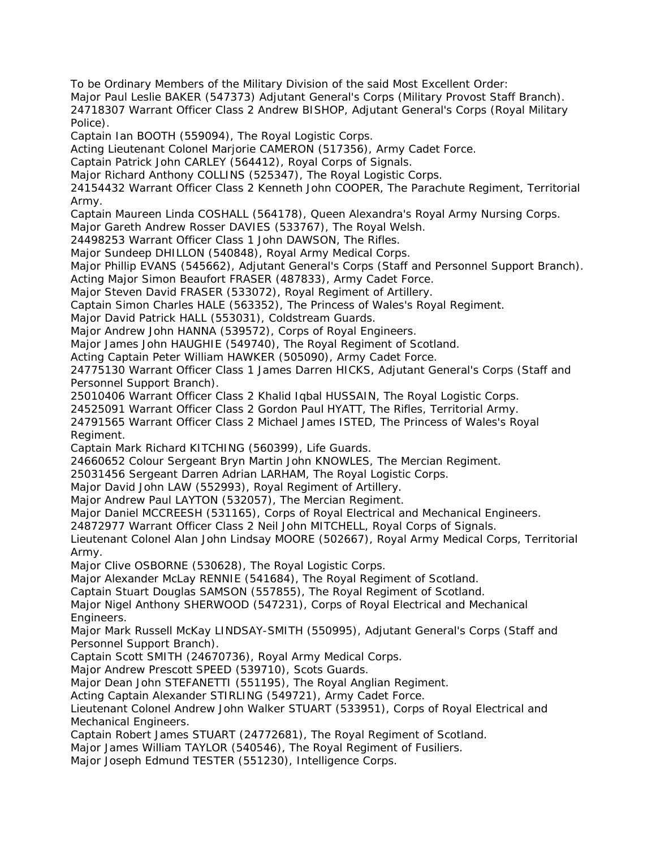To be Ordinary Members of the Military Division of the said Most Excellent Order:

Major Paul Leslie BAKER (547373) Adjutant General's Corps (Military Provost Staff Branch).

24718307 Warrant Officer Class 2 Andrew BISHOP, Adjutant General's Corps (Royal Military Police).

Captain Ian BOOTH (559094), The Royal Logistic Corps.

Acting Lieutenant Colonel Marjorie CAMERON (517356), Army Cadet Force.

Captain Patrick John CARLEY (564412), Royal Corps of Signals.

Major Richard Anthony COLLINS (525347), The Royal Logistic Corps.

24154432 Warrant Officer Class 2 Kenneth John COOPER, The Parachute Regiment, Territorial Army.

Captain Maureen Linda COSHALL (564178), Queen Alexandra's Royal Army Nursing Corps.

Major Gareth Andrew Rosser DAVIES (533767), The Royal Welsh.

24498253 Warrant Officer Class 1 John DAWSON, The Rifles.

Major Sundeep DHILLON (540848), Royal Army Medical Corps.

Major Phillip EVANS (545662), Adjutant General's Corps (Staff and Personnel Support Branch).

Acting Major Simon Beaufort FRASER (487833), Army Cadet Force.

Major Steven David FRASER (533072), Royal Regiment of Artillery.

Captain Simon Charles HALE (563352), The Princess of Wales's Royal Regiment.

Major David Patrick HALL (553031), Coldstream Guards.

Major Andrew John HANNA (539572), Corps of Royal Engineers.

Major James John HAUGHIE (549740), The Royal Regiment of Scotland.

Acting Captain Peter William HAWKER (505090), Army Cadet Force.

24775130 Warrant Officer Class 1 James Darren HICKS, Adjutant General's Corps (Staff and Personnel Support Branch).

25010406 Warrant Officer Class 2 Khalid Iqbal HUSSAIN, The Royal Logistic Corps.

24525091 Warrant Officer Class 2 Gordon Paul HYATT, The Rifles, Territorial Army.

24791565 Warrant Officer Class 2 Michael James ISTED, The Princess of Wales's Royal Regiment.

Captain Mark Richard KITCHING (560399), Life Guards.

24660652 Colour Sergeant Bryn Martin John KNOWLES, The Mercian Regiment.

25031456 Sergeant Darren Adrian LARHAM, The Royal Logistic Corps.

Major David John LAW (552993), Royal Regiment of Artillery.

Major Andrew Paul LAYTON (532057), The Mercian Regiment.

Major Daniel MCCREESH (531165), Corps of Royal Electrical and Mechanical Engineers.

24872977 Warrant Officer Class 2 Neil John MITCHELL, Royal Corps of Signals.

Lieutenant Colonel Alan John Lindsay MOORE (502667), Royal Army Medical Corps, Territorial Army.

Major Clive OSBORNE (530628), The Royal Logistic Corps.

Major Alexander McLay RENNIE (541684), The Royal Regiment of Scotland.

Captain Stuart Douglas SAMSON (557855), The Royal Regiment of Scotland.

Major Nigel Anthony SHERWOOD (547231), Corps of Royal Electrical and Mechanical Engineers.

Major Mark Russell McKay LINDSAY-SMITH (550995), Adjutant General's Corps (Staff and Personnel Support Branch).

Captain Scott SMITH (24670736), Royal Army Medical Corps.

Major Andrew Prescott SPEED (539710), Scots Guards.

Major Dean John STEFANETTI (551195), The Royal Anglian Regiment.

Acting Captain Alexander STIRLING (549721), Army Cadet Force.

Lieutenant Colonel Andrew John Walker STUART (533951), Corps of Royal Electrical and Mechanical Engineers.

Captain Robert James STUART (24772681), The Royal Regiment of Scotland.

Major James William TAYLOR (540546), The Royal Regiment of Fusiliers.

Major Joseph Edmund TESTER (551230), Intelligence Corps.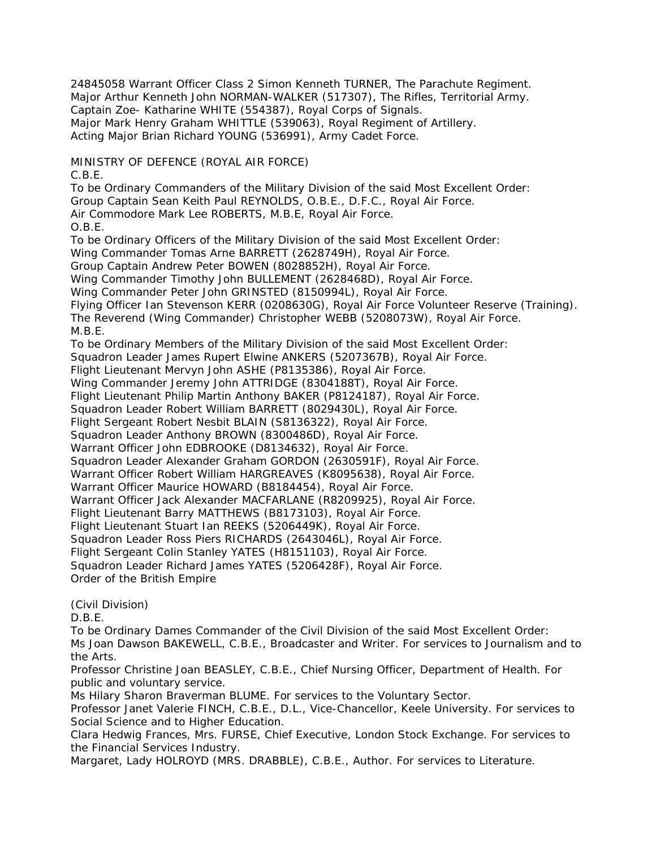24845058 Warrant Officer Class 2 Simon Kenneth TURNER, The Parachute Regiment. Major Arthur Kenneth John NORMAN-WALKER (517307), The Rifles, Territorial Army. Captain Zoe- Katharine WHITE (554387), Royal Corps of Signals. Major Mark Henry Graham WHITTLE (539063), Royal Regiment of Artillery. Acting Major Brian Richard YOUNG (536991), Army Cadet Force.

MINISTRY OF DEFENCE (ROYAL AIR FORCE)

C.B.E.

To be Ordinary Commanders of the Military Division of the said Most Excellent Order: Group Captain Sean Keith Paul REYNOLDS, O.B.E., D.F.C., Royal Air Force. Air Commodore Mark Lee ROBERTS, M.B.E, Royal Air Force. O.B.E. To be Ordinary Officers of the Military Division of the said Most Excellent Order: Wing Commander Tomas Arne BARRETT (2628749H), Royal Air Force. Group Captain Andrew Peter BOWEN (8028852H), Royal Air Force. Wing Commander Timothy John BULLEMENT (2628468D), Royal Air Force. Wing Commander Peter John GRINSTED (8150994L), Royal Air Force. Flying Officer Ian Stevenson KERR (0208630G), Royal Air Force Volunteer Reserve (Training). The Reverend (Wing Commander) Christopher WEBB (5208073W), Royal Air Force. M.B.E. To be Ordinary Members of the Military Division of the said Most Excellent Order: Squadron Leader James Rupert Elwine ANKERS (5207367B), Royal Air Force. Flight Lieutenant Mervyn John ASHE (P8135386), Royal Air Force. Wing Commander Jeremy John ATTRIDGE (8304188T), Royal Air Force. Flight Lieutenant Philip Martin Anthony BAKER (P8124187), Royal Air Force. Squadron Leader Robert William BARRETT (8029430L), Royal Air Force. Flight Sergeant Robert Nesbit BLAIN (S8136322), Royal Air Force. Squadron Leader Anthony BROWN (8300486D), Royal Air Force. Warrant Officer John EDBROOKE (D8134632), Royal Air Force. Squadron Leader Alexander Graham GORDON (2630591F), Royal Air Force. Warrant Officer Robert William HARGREAVES (K8095638), Royal Air Force. Warrant Officer Maurice HOWARD (B8184454), Royal Air Force. Warrant Officer Jack Alexander MACFARLANE (R8209925), Royal Air Force. Flight Lieutenant Barry MATTHEWS (B8173103), Royal Air Force. Flight Lieutenant Stuart Ian REEKS (5206449K), Royal Air Force. Squadron Leader Ross Piers RICHARDS (2643046L), Royal Air Force. Flight Sergeant Colin Stanley YATES (H8151103), Royal Air Force. Squadron Leader Richard James YATES (5206428F), Royal Air Force.

Order of the British Empire

(Civil Division)

D.B.E.

To be Ordinary Dames Commander of the Civil Division of the said Most Excellent Order: Ms Joan Dawson BAKEWELL, C.B.E., Broadcaster and Writer. For services to Journalism and to the Arts.

Professor Christine Joan BEASLEY, C.B.E., Chief Nursing Officer, Department of Health. For public and voluntary service.

Ms Hilary Sharon Braverman BLUME. For services to the Voluntary Sector.

Professor Janet Valerie FINCH, C.B.E., D.L., Vice-Chancellor, Keele University. For services to Social Science and to Higher Education.

Clara Hedwig Frances, Mrs. FURSE, Chief Executive, London Stock Exchange. For services to the Financial Services Industry.

Margaret, Lady HOLROYD (MRS. DRABBLE), C.B.E., Author. For services to Literature.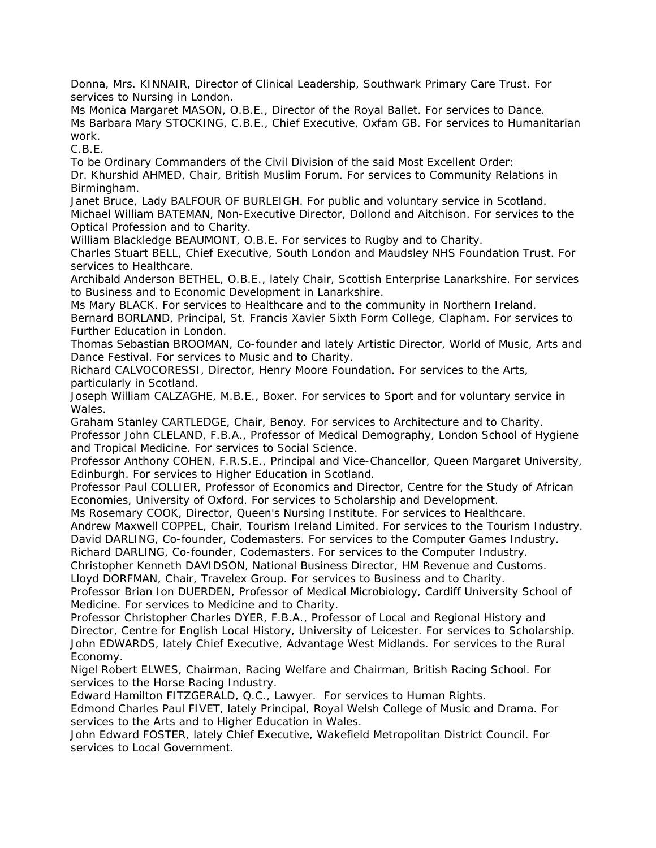Donna, Mrs. KINNAIR, Director of Clinical Leadership, Southwark Primary Care Trust. For services to Nursing in London.

Ms Monica Margaret MASON, O.B.E., Director of the Royal Ballet. For services to Dance. Ms Barbara Mary STOCKING, C.B.E., Chief Executive, Oxfam GB. For services to Humanitarian work.

C.B.E.

To be Ordinary Commanders of the Civil Division of the said Most Excellent Order:

Dr. Khurshid AHMED, Chair, British Muslim Forum. For services to Community Relations in Birmingham.

Janet Bruce, Lady BALFOUR OF BURLEIGH. For public and voluntary service in Scotland. Michael William BATEMAN, Non-Executive Director, Dollond and Aitchison. For services to the Optical Profession and to Charity.

William Blackledge BEAUMONT, O.B.E. For services to Rugby and to Charity.

Charles Stuart BELL, Chief Executive, South London and Maudsley NHS Foundation Trust. For services to Healthcare.

Archibald Anderson BETHEL, O.B.E., lately Chair, Scottish Enterprise Lanarkshire. For services to Business and to Economic Development in Lanarkshire.

Ms Mary BLACK. For services to Healthcare and to the community in Northern Ireland. Bernard BORLAND, Principal, St. Francis Xavier Sixth Form College, Clapham. For services to Further Education in London.

Thomas Sebastian BROOMAN, Co-founder and lately Artistic Director, World of Music, Arts and Dance Festival. For services to Music and to Charity.

Richard CALVOCORESSI, Director, Henry Moore Foundation. For services to the Arts, particularly in Scotland.

Joseph William CALZAGHE, M.B.E., Boxer. For services to Sport and for voluntary service in Wales.

Graham Stanley CARTLEDGE, Chair, Benoy. For services to Architecture and to Charity. Professor John CLELAND, F.B.A., Professor of Medical Demography, London School of Hygiene and Tropical Medicine. For services to Social Science.

Professor Anthony COHEN, F.R.S.E., Principal and Vice-Chancellor, Queen Margaret University, Edinburgh. For services to Higher Education in Scotland.

Professor Paul COLLIER, Professor of Economics and Director, Centre for the Study of African Economies, University of Oxford. For services to Scholarship and Development.

Ms Rosemary COOK, Director, Queen's Nursing Institute. For services to Healthcare. Andrew Maxwell COPPEL, Chair, Tourism Ireland Limited. For services to the Tourism Industry.

David DARLING, Co-founder, Codemasters. For services to the Computer Games Industry.

Richard DARLING, Co-founder, Codemasters. For services to the Computer Industry. Christopher Kenneth DAVIDSON, National Business Director, HM Revenue and Customs.

Lloyd DORFMAN, Chair, Travelex Group. For services to Business and to Charity.

Professor Brian Ion DUERDEN, Professor of Medical Microbiology, Cardiff University School of Medicine. For services to Medicine and to Charity.

Professor Christopher Charles DYER, F.B.A., Professor of Local and Regional History and Director, Centre for English Local History, University of Leicester. For services to Scholarship. John EDWARDS, lately Chief Executive, Advantage West Midlands. For services to the Rural Economy.

Nigel Robert ELWES, Chairman, Racing Welfare and Chairman, British Racing School. For services to the Horse Racing Industry.

Edward Hamilton FITZGERALD, Q.C., Lawyer. For services to Human Rights.

Edmond Charles Paul FIVET, lately Principal, Royal Welsh College of Music and Drama. For services to the Arts and to Higher Education in Wales.

John Edward FOSTER, lately Chief Executive, Wakefield Metropolitan District Council. For services to Local Government.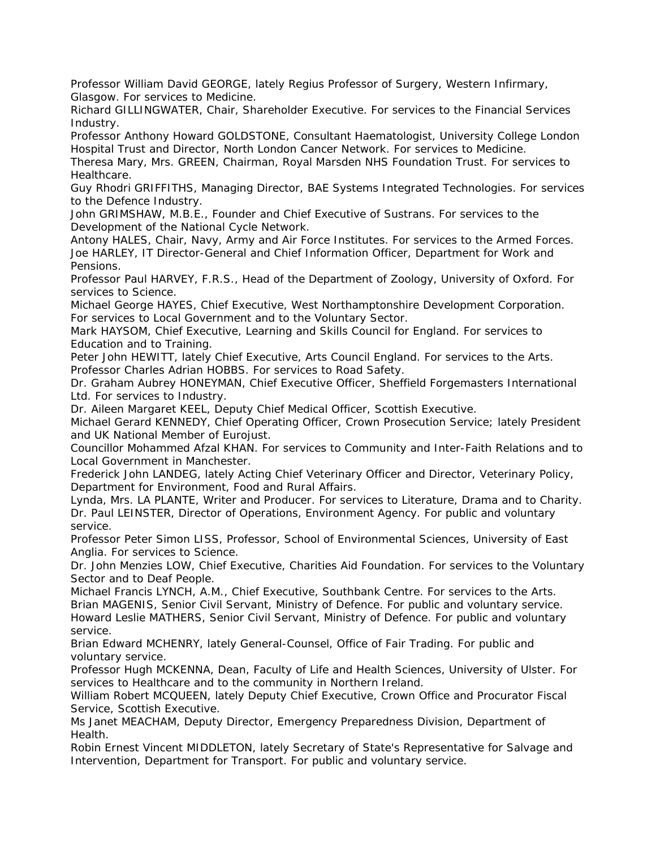Professor William David GEORGE, lately Regius Professor of Surgery, Western Infirmary, Glasgow. For services to Medicine.

Richard GILLINGWATER, Chair, Shareholder Executive. For services to the Financial Services Industry.

Professor Anthony Howard GOLDSTONE, Consultant Haematologist, University College London Hospital Trust and Director, North London Cancer Network. For services to Medicine.

Theresa Mary, Mrs. GREEN, Chairman, Royal Marsden NHS Foundation Trust. For services to Healthcare.

Guy Rhodri GRIFFITHS, Managing Director, BAE Systems Integrated Technologies. For services to the Defence Industry.

John GRIMSHAW, M.B.E., Founder and Chief Executive of Sustrans. For services to the Development of the National Cycle Network.

Antony HALES, Chair, Navy, Army and Air Force Institutes. For services to the Armed Forces. Joe HARLEY, IT Director-General and Chief Information Officer, Department for Work and Pensions.

Professor Paul HARVEY, F.R.S., Head of the Department of Zoology, University of Oxford. For services to Science.

Michael George HAYES, Chief Executive, West Northamptonshire Development Corporation. For services to Local Government and to the Voluntary Sector.

Mark HAYSOM, Chief Executive, Learning and Skills Council for England. For services to Education and to Training.

Peter John HEWITT, lately Chief Executive, Arts Council England. For services to the Arts. Professor Charles Adrian HOBBS. For services to Road Safety.

Dr. Graham Aubrey HONEYMAN, Chief Executive Officer, Sheffield Forgemasters International Ltd. For services to Industry.

Dr. Aileen Margaret KEEL, Deputy Chief Medical Officer, Scottish Executive.

Michael Gerard KENNEDY, Chief Operating Officer, Crown Prosecution Service; lately President and UK National Member of Eurojust.

Councillor Mohammed Afzal KHAN. For services to Community and Inter-Faith Relations and to Local Government in Manchester.

Frederick John LANDEG, lately Acting Chief Veterinary Officer and Director, Veterinary Policy, Department for Environment, Food and Rural Affairs.

Lynda, Mrs. LA PLANTE, Writer and Producer. For services to Literature, Drama and to Charity. Dr. Paul LEINSTER, Director of Operations, Environment Agency. For public and voluntary service.

Professor Peter Simon LISS, Professor, School of Environmental Sciences, University of East Anglia. For services to Science.

Dr. John Menzies LOW, Chief Executive, Charities Aid Foundation. For services to the Voluntary Sector and to Deaf People.

Michael Francis LYNCH, A.M., Chief Executive, Southbank Centre. For services to the Arts. Brian MAGENIS, Senior Civil Servant, Ministry of Defence. For public and voluntary service. Howard Leslie MATHERS, Senior Civil Servant, Ministry of Defence. For public and voluntary service.

Brian Edward MCHENRY, lately General-Counsel, Office of Fair Trading. For public and voluntary service.

Professor Hugh MCKENNA, Dean, Faculty of Life and Health Sciences, University of Ulster. For services to Healthcare and to the community in Northern Ireland.

William Robert MCQUEEN, lately Deputy Chief Executive, Crown Office and Procurator Fiscal Service, Scottish Executive.

Ms Janet MEACHAM, Deputy Director, Emergency Preparedness Division, Department of Health.

Robin Ernest Vincent MIDDLETON, lately Secretary of State's Representative for Salvage and Intervention, Department for Transport. For public and voluntary service.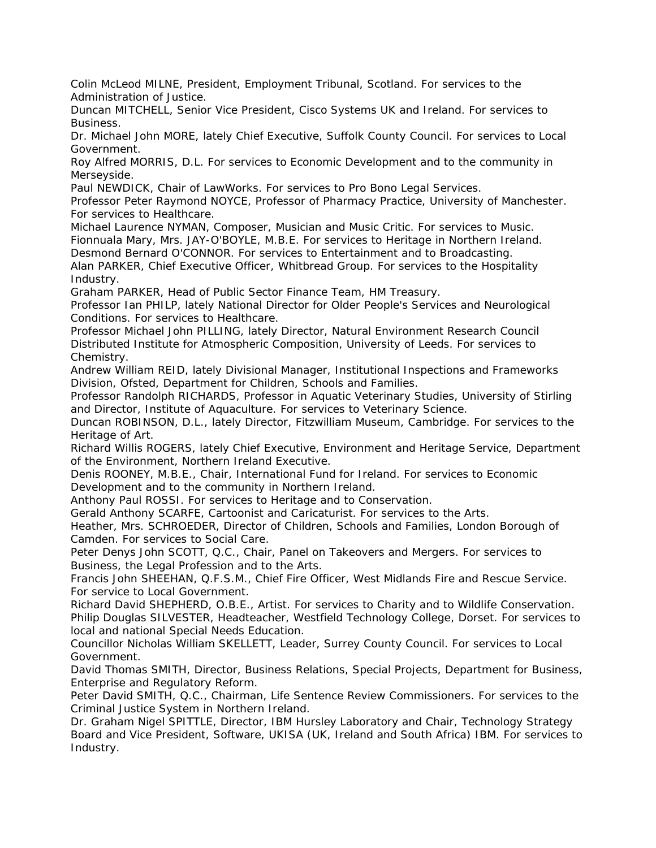Colin McLeod MILNE, President, Employment Tribunal, Scotland. For services to the Administration of Justice.

Duncan MITCHELL, Senior Vice President, Cisco Systems UK and Ireland. For services to Business.

Dr. Michael John MORE, lately Chief Executive, Suffolk County Council. For services to Local Government.

Roy Alfred MORRIS, D.L. For services to Economic Development and to the community in Merseyside.

Paul NEWDICK, Chair of LawWorks. For services to Pro Bono Legal Services.

Professor Peter Raymond NOYCE, Professor of Pharmacy Practice, University of Manchester. For services to Healthcare.

Michael Laurence NYMAN, Composer, Musician and Music Critic. For services to Music. Fionnuala Mary, Mrs. JAY-O'BOYLE, M.B.E. For services to Heritage in Northern Ireland.

Desmond Bernard O'CONNOR. For services to Entertainment and to Broadcasting.

Alan PARKER, Chief Executive Officer, Whitbread Group. For services to the Hospitality Industry.

Graham PARKER, Head of Public Sector Finance Team, HM Treasury.

Professor Ian PHILP, lately National Director for Older People's Services and Neurological Conditions. For services to Healthcare.

Professor Michael John PILLING, lately Director, Natural Environment Research Council Distributed Institute for Atmospheric Composition, University of Leeds. For services to Chemistry.

Andrew William REID, lately Divisional Manager, Institutional Inspections and Frameworks Division, Ofsted, Department for Children, Schools and Families.

Professor Randolph RICHARDS, Professor in Aquatic Veterinary Studies, University of Stirling and Director, Institute of Aquaculture. For services to Veterinary Science.

Duncan ROBINSON, D.L., lately Director, Fitzwilliam Museum, Cambridge. For services to the Heritage of Art.

Richard Willis ROGERS, lately Chief Executive, Environment and Heritage Service, Department of the Environment, Northern Ireland Executive.

Denis ROONEY, M.B.E., Chair, International Fund for Ireland. For services to Economic Development and to the community in Northern Ireland.

Anthony Paul ROSSI. For services to Heritage and to Conservation.

Gerald Anthony SCARFE, Cartoonist and Caricaturist. For services to the Arts.

Heather, Mrs. SCHROEDER, Director of Children, Schools and Families, London Borough of Camden. For services to Social Care.

Peter Denys John SCOTT, Q.C., Chair, Panel on Takeovers and Mergers. For services to Business, the Legal Profession and to the Arts.

Francis John SHEEHAN, Q.F.S.M., Chief Fire Officer, West Midlands Fire and Rescue Service. For service to Local Government.

Richard David SHEPHERD, O.B.E., Artist. For services to Charity and to Wildlife Conservation.

Philip Douglas SILVESTER, Headteacher, Westfield Technology College, Dorset. For services to local and national Special Needs Education.

Councillor Nicholas William SKELLETT, Leader, Surrey County Council. For services to Local Government.

David Thomas SMITH, Director, Business Relations, Special Projects, Department for Business, Enterprise and Regulatory Reform.

Peter David SMITH, Q.C., Chairman, Life Sentence Review Commissioners. For services to the Criminal Justice System in Northern Ireland.

Dr. Graham Nigel SPITTLE, Director, IBM Hursley Laboratory and Chair, Technology Strategy Board and Vice President, Software, UKISA (UK, Ireland and South Africa) IBM. For services to Industry.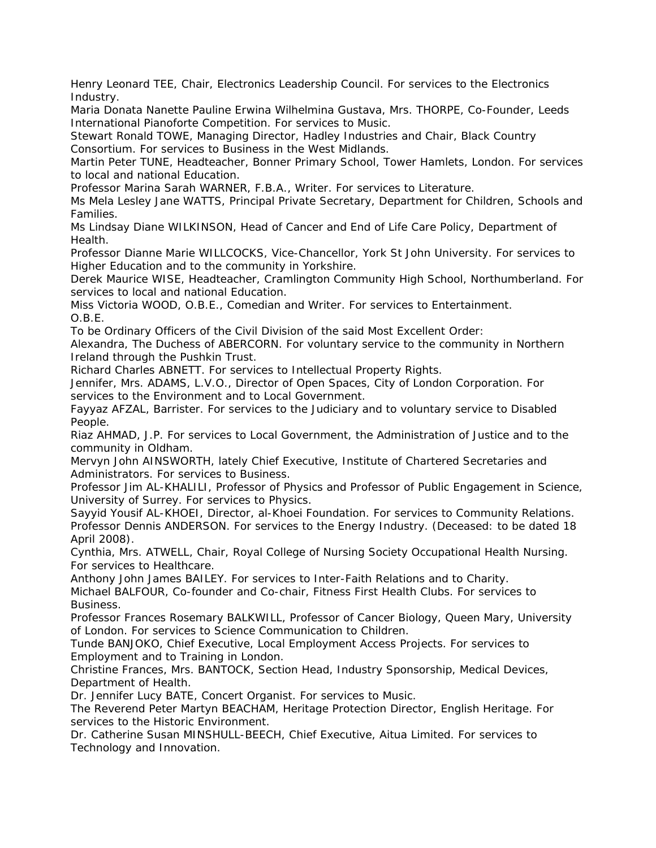Henry Leonard TEE, Chair, Electronics Leadership Council. For services to the Electronics Industry.

Maria Donata Nanette Pauline Erwina Wilhelmina Gustava, Mrs. THORPE, Co-Founder, Leeds International Pianoforte Competition. For services to Music.

Stewart Ronald TOWE, Managing Director, Hadley Industries and Chair, Black Country Consortium. For services to Business in the West Midlands.

Martin Peter TUNE, Headteacher, Bonner Primary School, Tower Hamlets, London. For services to local and national Education.

Professor Marina Sarah WARNER, F.B.A., Writer. For services to Literature.

Ms Mela Lesley Jane WATTS, Principal Private Secretary, Department for Children, Schools and Families.

Ms Lindsay Diane WILKINSON, Head of Cancer and End of Life Care Policy, Department of Health.

Professor Dianne Marie WILLCOCKS, Vice-Chancellor, York St John University. For services to Higher Education and to the community in Yorkshire.

Derek Maurice WISE, Headteacher, Cramlington Community High School, Northumberland. For services to local and national Education.

Miss Victoria WOOD, O.B.E., Comedian and Writer. For services to Entertainment. O.B.E.

To be Ordinary Officers of the Civil Division of the said Most Excellent Order:

Alexandra, The Duchess of ABERCORN. For voluntary service to the community in Northern Ireland through the Pushkin Trust.

Richard Charles ABNETT. For services to Intellectual Property Rights.

Jennifer, Mrs. ADAMS, L.V.O., Director of Open Spaces, City of London Corporation. For services to the Environment and to Local Government.

Fayyaz AFZAL, Barrister. For services to the Judiciary and to voluntary service to Disabled People.

Riaz AHMAD, J.P. For services to Local Government, the Administration of Justice and to the community in Oldham.

Mervyn John AINSWORTH, lately Chief Executive, Institute of Chartered Secretaries and Administrators. For services to Business.

Professor Jim AL-KHALILI, Professor of Physics and Professor of Public Engagement in Science, University of Surrey. For services to Physics.

Sayyid Yousif AL-KHOEI, Director, al-Khoei Foundation. For services to Community Relations. Professor Dennis ANDERSON. For services to the Energy Industry. (Deceased: to be dated 18 April 2008).

Cynthia, Mrs. ATWELL, Chair, Royal College of Nursing Society Occupational Health Nursing. For services to Healthcare.

Anthony John James BAILEY. For services to Inter-Faith Relations and to Charity. Michael BALFOUR, Co-founder and Co-chair, Fitness First Health Clubs. For services to Business.

Professor Frances Rosemary BALKWILL, Professor of Cancer Biology, Queen Mary, University of London. For services to Science Communication to Children.

Tunde BANJOKO, Chief Executive, Local Employment Access Projects. For services to Employment and to Training in London.

Christine Frances, Mrs. BANTOCK, Section Head, Industry Sponsorship, Medical Devices, Department of Health.

Dr. Jennifer Lucy BATE, Concert Organist. For services to Music.

The Reverend Peter Martyn BEACHAM, Heritage Protection Director, English Heritage. For services to the Historic Environment.

Dr. Catherine Susan MINSHULL-BEECH, Chief Executive, Aitua Limited. For services to Technology and Innovation.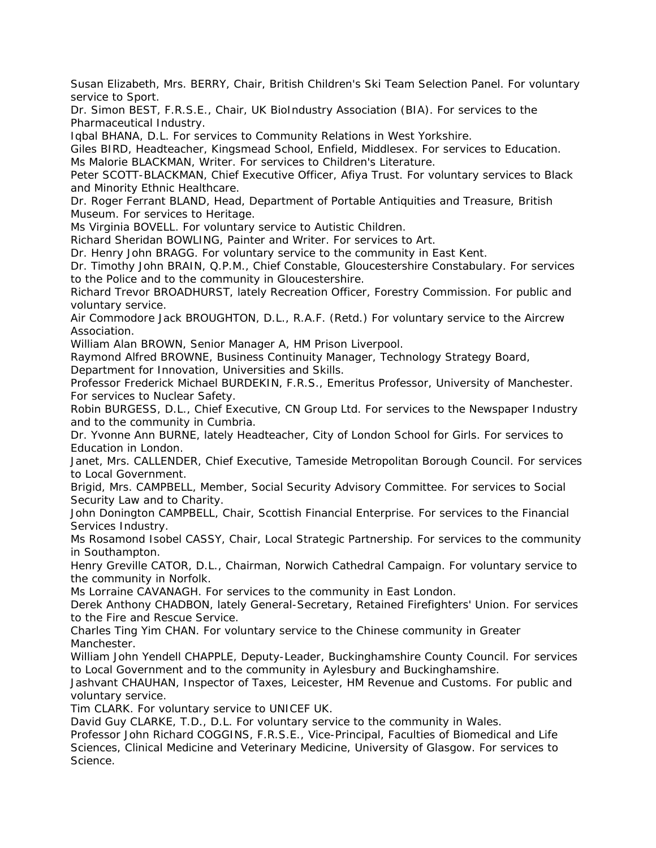Susan Elizabeth, Mrs. BERRY, Chair, British Children's Ski Team Selection Panel. For voluntary service to Sport.

Dr. Simon BEST, F.R.S.E., Chair, UK BioIndustry Association (BIA). For services to the Pharmaceutical Industry.

Iqbal BHANA, D.L. For services to Community Relations in West Yorkshire.

Giles BIRD, Headteacher, Kingsmead School, Enfield, Middlesex. For services to Education. Ms Malorie BLACKMAN, Writer. For services to Children's Literature.

Peter SCOTT-BLACKMAN, Chief Executive Officer, Afiya Trust. For voluntary services to Black and Minority Ethnic Healthcare.

Dr. Roger Ferrant BLAND, Head, Department of Portable Antiquities and Treasure, British Museum. For services to Heritage.

Ms Virginia BOVELL. For voluntary service to Autistic Children.

Richard Sheridan BOWLING, Painter and Writer. For services to Art.

Dr. Henry John BRAGG. For voluntary service to the community in East Kent.

Dr. Timothy John BRAIN, Q.P.M., Chief Constable, Gloucestershire Constabulary. For services to the Police and to the community in Gloucestershire.

Richard Trevor BROADHURST, lately Recreation Officer, Forestry Commission. For public and voluntary service.

Air Commodore Jack BROUGHTON, D.L., R.A.F. (Retd.) For voluntary service to the Aircrew Association.

William Alan BROWN, Senior Manager A, HM Prison Liverpool.

Raymond Alfred BROWNE, Business Continuity Manager, Technology Strategy Board,

Department for Innovation, Universities and Skills.

Professor Frederick Michael BURDEKIN, F.R.S., Emeritus Professor, University of Manchester. For services to Nuclear Safety.

Robin BURGESS, D.L., Chief Executive, CN Group Ltd. For services to the Newspaper Industry and to the community in Cumbria.

Dr. Yvonne Ann BURNE, lately Headteacher, City of London School for Girls. For services to Education in London.

Janet, Mrs. CALLENDER, Chief Executive, Tameside Metropolitan Borough Council. For services to Local Government.

Brigid, Mrs. CAMPBELL, Member, Social Security Advisory Committee. For services to Social Security Law and to Charity.

John Donington CAMPBELL, Chair, Scottish Financial Enterprise. For services to the Financial Services Industry.

Ms Rosamond Isobel CASSY, Chair, Local Strategic Partnership. For services to the community in Southampton.

Henry Greville CATOR, D.L., Chairman, Norwich Cathedral Campaign. For voluntary service to the community in Norfolk.

Ms Lorraine CAVANAGH. For services to the community in East London.

Derek Anthony CHADBON, lately General-Secretary, Retained Firefighters' Union. For services to the Fire and Rescue Service.

Charles Ting Yim CHAN. For voluntary service to the Chinese community in Greater Manchester.

William John Yendell CHAPPLE, Deputy-Leader, Buckinghamshire County Council. For services to Local Government and to the community in Aylesbury and Buckinghamshire.

Jashvant CHAUHAN, Inspector of Taxes, Leicester, HM Revenue and Customs. For public and voluntary service.

Tim CLARK. For voluntary service to UNICEF UK.

David Guy CLARKE, T.D., D.L. For voluntary service to the community in Wales.

Professor John Richard COGGINS, F.R.S.E., Vice-Principal, Faculties of Biomedical and Life Sciences, Clinical Medicine and Veterinary Medicine, University of Glasgow. For services to Science.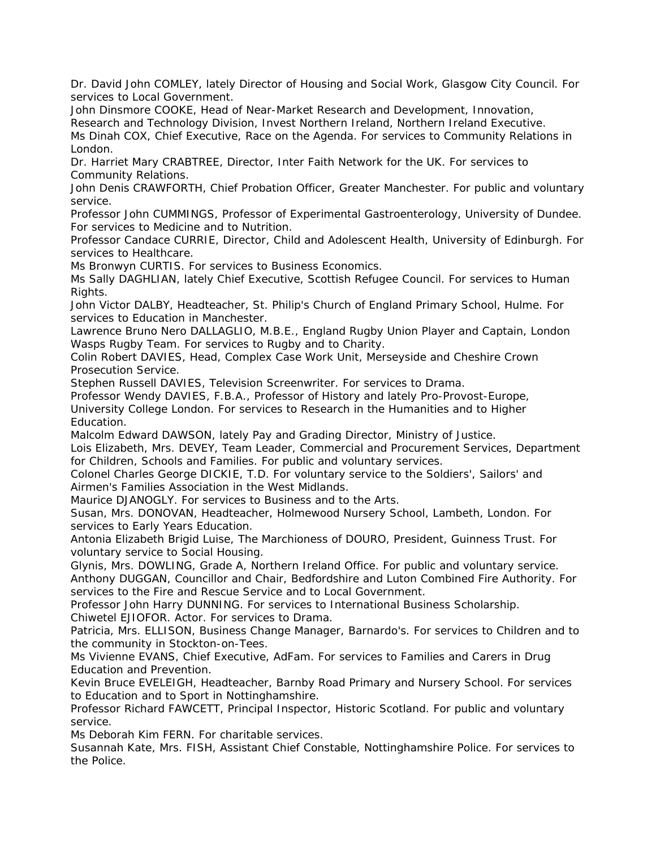Dr. David John COMLEY, lately Director of Housing and Social Work, Glasgow City Council. For services to Local Government.

John Dinsmore COOKE, Head of Near-Market Research and Development, Innovation, Research and Technology Division, Invest Northern Ireland, Northern Ireland Executive. Ms Dinah COX, Chief Executive, Race on the Agenda. For services to Community Relations in London.

Dr. Harriet Mary CRABTREE, Director, Inter Faith Network for the UK. For services to Community Relations.

John Denis CRAWFORTH, Chief Probation Officer, Greater Manchester. For public and voluntary service.

Professor John CUMMINGS, Professor of Experimental Gastroenterology, University of Dundee. For services to Medicine and to Nutrition.

Professor Candace CURRIE, Director, Child and Adolescent Health, University of Edinburgh. For services to Healthcare.

Ms Bronwyn CURTIS. For services to Business Economics.

Ms Sally DAGHLIAN, lately Chief Executive, Scottish Refugee Council. For services to Human Rights.

John Victor DALBY, Headteacher, St. Philip's Church of England Primary School, Hulme. For services to Education in Manchester.

Lawrence Bruno Nero DALLAGLIO, M.B.E., England Rugby Union Player and Captain, London Wasps Rugby Team. For services to Rugby and to Charity.

Colin Robert DAVIES, Head, Complex Case Work Unit, Merseyside and Cheshire Crown Prosecution Service.

Stephen Russell DAVIES, Television Screenwriter. For services to Drama.

Professor Wendy DAVIES, F.B.A., Professor of History and lately Pro-Provost-Europe,

University College London. For services to Research in the Humanities and to Higher Education.

Malcolm Edward DAWSON, lately Pay and Grading Director, Ministry of Justice.

Lois Elizabeth, Mrs. DEVEY, Team Leader, Commercial and Procurement Services, Department for Children, Schools and Families. For public and voluntary services.

Colonel Charles George DICKIE, T.D. For voluntary service to the Soldiers', Sailors' and Airmen's Families Association in the West Midlands.

Maurice DJANOGLY. For services to Business and to the Arts.

Susan, Mrs. DONOVAN, Headteacher, Holmewood Nursery School, Lambeth, London. For services to Early Years Education.

Antonia Elizabeth Brigid Luise, The Marchioness of DOURO, President, Guinness Trust. For voluntary service to Social Housing.

Glynis, Mrs. DOWLING, Grade A, Northern Ireland Office. For public and voluntary service. Anthony DUGGAN, Councillor and Chair, Bedfordshire and Luton Combined Fire Authority. For services to the Fire and Rescue Service and to Local Government.

Professor John Harry DUNNING. For services to International Business Scholarship. Chiwetel EJIOFOR. Actor. For services to Drama.

Patricia, Mrs. ELLISON, Business Change Manager, Barnardo's. For services to Children and to the community in Stockton-on-Tees.

Ms Vivienne EVANS, Chief Executive, AdFam. For services to Families and Carers in Drug Education and Prevention.

Kevin Bruce EVELEIGH, Headteacher, Barnby Road Primary and Nursery School. For services to Education and to Sport in Nottinghamshire.

Professor Richard FAWCETT, Principal Inspector, Historic Scotland. For public and voluntary service.

Ms Deborah Kim FERN. For charitable services.

Susannah Kate, Mrs. FISH, Assistant Chief Constable, Nottinghamshire Police. For services to the Police.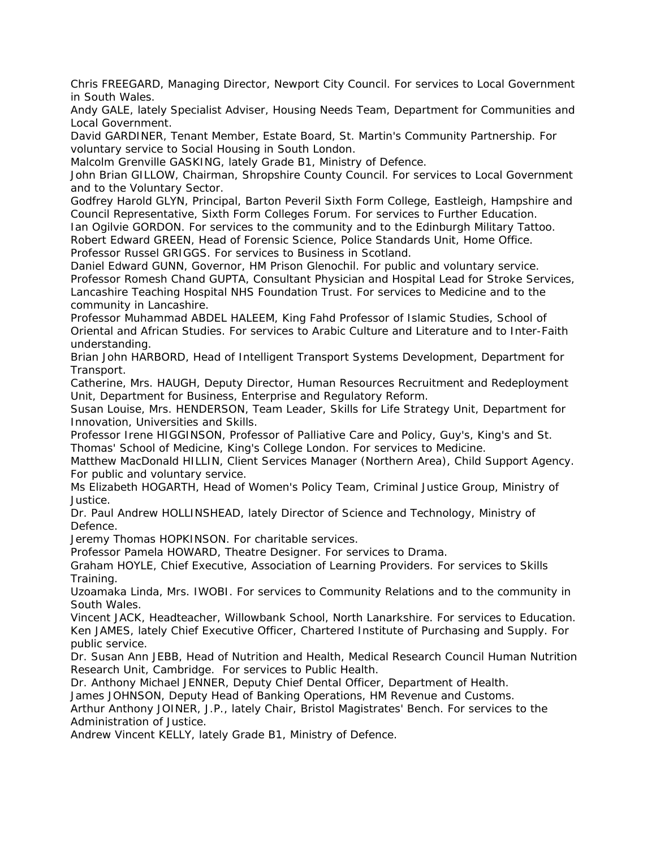Chris FREEGARD, Managing Director, Newport City Council. For services to Local Government in South Wales.

Andy GALE, lately Specialist Adviser, Housing Needs Team, Department for Communities and Local Government.

David GARDINER, Tenant Member, Estate Board, St. Martin's Community Partnership. For voluntary service to Social Housing in South London.

Malcolm Grenville GASKING, lately Grade B1, Ministry of Defence.

John Brian GILLOW, Chairman, Shropshire County Council. For services to Local Government and to the Voluntary Sector.

Godfrey Harold GLYN, Principal, Barton Peveril Sixth Form College, Eastleigh, Hampshire and Council Representative, Sixth Form Colleges Forum. For services to Further Education.

Ian Ogilvie GORDON. For services to the community and to the Edinburgh Military Tattoo. Robert Edward GREEN, Head of Forensic Science, Police Standards Unit, Home Office. Professor Russel GRIGGS. For services to Business in Scotland.

Daniel Edward GUNN, Governor, HM Prison Glenochil. For public and voluntary service. Professor Romesh Chand GUPTA, Consultant Physician and Hospital Lead for Stroke Services, Lancashire Teaching Hospital NHS Foundation Trust. For services to Medicine and to the community in Lancashire.

Professor Muhammad ABDEL HALEEM, King Fahd Professor of Islamic Studies, School of Oriental and African Studies. For services to Arabic Culture and Literature and to Inter-Faith understanding.

Brian John HARBORD, Head of Intelligent Transport Systems Development, Department for Transport.

Catherine, Mrs. HAUGH, Deputy Director, Human Resources Recruitment and Redeployment Unit, Department for Business, Enterprise and Regulatory Reform.

Susan Louise, Mrs. HENDERSON, Team Leader, Skills for Life Strategy Unit, Department for Innovation, Universities and Skills.

Professor Irene HIGGINSON, Professor of Palliative Care and Policy, Guy's, King's and St. Thomas' School of Medicine, King's College London. For services to Medicine.

Matthew MacDonald HILLIN, Client Services Manager (Northern Area), Child Support Agency. For public and voluntary service.

Ms Elizabeth HOGARTH, Head of Women's Policy Team, Criminal Justice Group, Ministry of Justice.

Dr. Paul Andrew HOLLINSHEAD, lately Director of Science and Technology, Ministry of Defence.

Jeremy Thomas HOPKINSON. For charitable services.

Professor Pamela HOWARD, Theatre Designer. For services to Drama.

Graham HOYLE, Chief Executive, Association of Learning Providers. For services to Skills Training.

Uzoamaka Linda, Mrs. IWOBI. For services to Community Relations and to the community in South Wales.

Vincent JACK, Headteacher, Willowbank School, North Lanarkshire. For services to Education. Ken JAMES, lately Chief Executive Officer, Chartered Institute of Purchasing and Supply. For public service.

Dr. Susan Ann JEBB, Head of Nutrition and Health, Medical Research Council Human Nutrition Research Unit, Cambridge. For services to Public Health.

Dr. Anthony Michael JENNER, Deputy Chief Dental Officer, Department of Health.

James JOHNSON, Deputy Head of Banking Operations, HM Revenue and Customs.

Arthur Anthony JOINER, J.P., lately Chair, Bristol Magistrates' Bench. For services to the Administration of Justice.

Andrew Vincent KELLY, lately Grade B1, Ministry of Defence.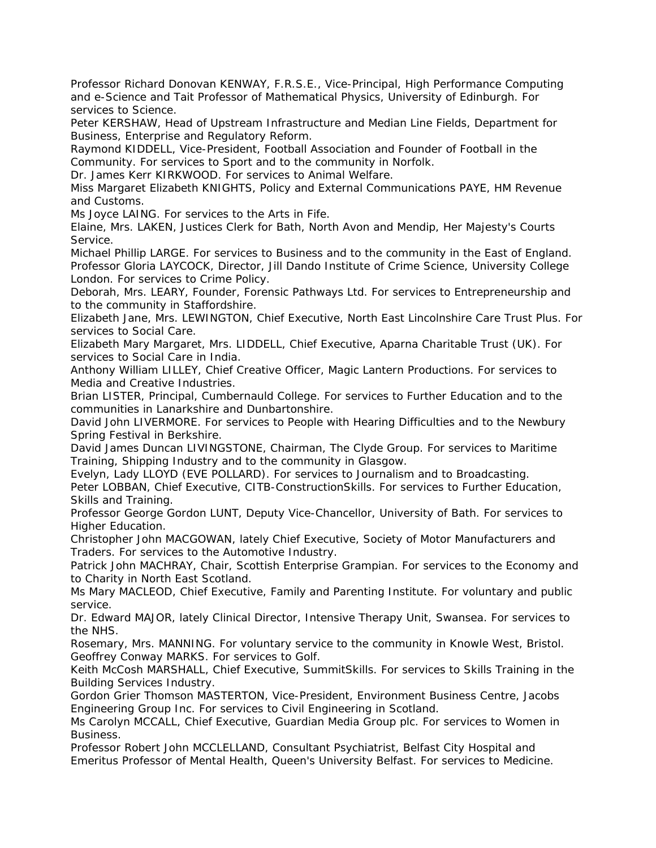Professor Richard Donovan KENWAY, F.R.S.E., Vice-Principal, High Performance Computing and e-Science and Tait Professor of Mathematical Physics, University of Edinburgh. For services to Science.

Peter KERSHAW, Head of Upstream Infrastructure and Median Line Fields, Department for Business, Enterprise and Regulatory Reform.

Raymond KIDDELL, Vice-President, Football Association and Founder of Football in the Community. For services to Sport and to the community in Norfolk.

Dr. James Kerr KIRKWOOD. For services to Animal Welfare.

Miss Margaret Elizabeth KNIGHTS, Policy and External Communications PAYE, HM Revenue and Customs.

Ms Joyce LAING. For services to the Arts in Fife.

Elaine, Mrs. LAKEN, Justices Clerk for Bath, North Avon and Mendip, Her Majesty's Courts Service.

Michael Phillip LARGE. For services to Business and to the community in the East of England. Professor Gloria LAYCOCK, Director, Jill Dando Institute of Crime Science, University College London. For services to Crime Policy.

Deborah, Mrs. LEARY, Founder, Forensic Pathways Ltd. For services to Entrepreneurship and to the community in Staffordshire.

Elizabeth Jane, Mrs. LEWINGTON, Chief Executive, North East Lincolnshire Care Trust Plus. For services to Social Care.

Elizabeth Mary Margaret, Mrs. LIDDELL, Chief Executive, Aparna Charitable Trust (UK). For services to Social Care in India.

Anthony William LILLEY, Chief Creative Officer, Magic Lantern Productions. For services to Media and Creative Industries.

Brian LISTER, Principal, Cumbernauld College. For services to Further Education and to the communities in Lanarkshire and Dunbartonshire.

David John LIVERMORE. For services to People with Hearing Difficulties and to the Newbury Spring Festival in Berkshire.

David James Duncan LIVINGSTONE, Chairman, The Clyde Group. For services to Maritime Training, Shipping Industry and to the community in Glasgow.

Evelyn, Lady LLOYD (EVE POLLARD). For services to Journalism and to Broadcasting. Peter LOBBAN, Chief Executive, CITB-ConstructionSkills. For services to Further Education, Skills and Training.

Professor George Gordon LUNT, Deputy Vice-Chancellor, University of Bath. For services to Higher Education.

Christopher John MACGOWAN, lately Chief Executive, Society of Motor Manufacturers and Traders. For services to the Automotive Industry.

Patrick John MACHRAY, Chair, Scottish Enterprise Grampian. For services to the Economy and to Charity in North East Scotland.

Ms Mary MACLEOD, Chief Executive, Family and Parenting Institute. For voluntary and public service.

Dr. Edward MAJOR, lately Clinical Director, Intensive Therapy Unit, Swansea. For services to the NHS.

Rosemary, Mrs. MANNING. For voluntary service to the community in Knowle West, Bristol. Geoffrey Conway MARKS. For services to Golf.

Keith McCosh MARSHALL, Chief Executive, SummitSkills. For services to Skills Training in the Building Services Industry.

Gordon Grier Thomson MASTERTON, Vice-President, Environment Business Centre, Jacobs Engineering Group Inc. For services to Civil Engineering in Scotland.

Ms Carolyn MCCALL, Chief Executive, Guardian Media Group plc. For services to Women in Business.

Professor Robert John MCCLELLAND, Consultant Psychiatrist, Belfast City Hospital and Emeritus Professor of Mental Health, Queen's University Belfast. For services to Medicine.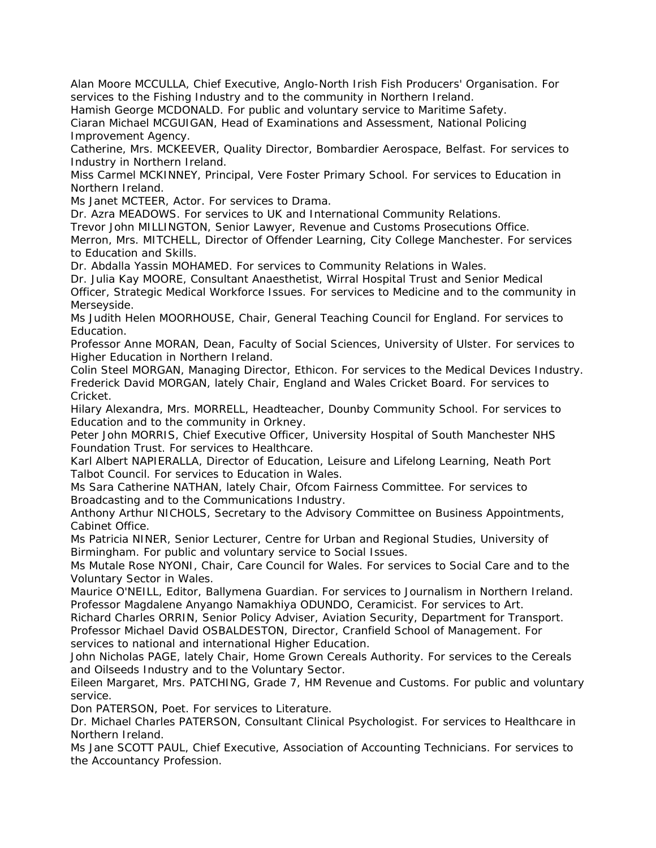Alan Moore MCCULLA, Chief Executive, Anglo-North Irish Fish Producers' Organisation. For services to the Fishing Industry and to the community in Northern Ireland.

Hamish George MCDONALD. For public and voluntary service to Maritime Safety.

Ciaran Michael MCGUIGAN, Head of Examinations and Assessment, National Policing Improvement Agency.

Catherine, Mrs. MCKEEVER, Quality Director, Bombardier Aerospace, Belfast. For services to Industry in Northern Ireland.

Miss Carmel MCKINNEY, Principal, Vere Foster Primary School. For services to Education in Northern Ireland.

Ms Janet MCTEER, Actor. For services to Drama.

Dr. Azra MEADOWS. For services to UK and International Community Relations.

Trevor John MILLINGTON, Senior Lawyer, Revenue and Customs Prosecutions Office.

Merron, Mrs. MITCHELL, Director of Offender Learning, City College Manchester. For services to Education and Skills.

Dr. Abdalla Yassin MOHAMED. For services to Community Relations in Wales.

Dr. Julia Kay MOORE, Consultant Anaesthetist, Wirral Hospital Trust and Senior Medical Officer, Strategic Medical Workforce Issues. For services to Medicine and to the community in Merseyside.

Ms Judith Helen MOORHOUSE, Chair, General Teaching Council for England. For services to Education.

Professor Anne MORAN, Dean, Faculty of Social Sciences, University of Ulster. For services to Higher Education in Northern Ireland.

Colin Steel MORGAN, Managing Director, Ethicon. For services to the Medical Devices Industry. Frederick David MORGAN, lately Chair, England and Wales Cricket Board. For services to Cricket.

Hilary Alexandra, Mrs. MORRELL, Headteacher, Dounby Community School. For services to Education and to the community in Orkney.

Peter John MORRIS, Chief Executive Officer, University Hospital of South Manchester NHS Foundation Trust. For services to Healthcare.

Karl Albert NAPIERALLA, Director of Education, Leisure and Lifelong Learning, Neath Port Talbot Council. For services to Education in Wales.

Ms Sara Catherine NATHAN, lately Chair, Ofcom Fairness Committee. For services to Broadcasting and to the Communications Industry.

Anthony Arthur NICHOLS, Secretary to the Advisory Committee on Business Appointments, Cabinet Office.

Ms Patricia NINER, Senior Lecturer, Centre for Urban and Regional Studies, University of Birmingham. For public and voluntary service to Social Issues.

Ms Mutale Rose NYONI, Chair, Care Council for Wales. For services to Social Care and to the Voluntary Sector in Wales.

Maurice O'NEILL, Editor, Ballymena Guardian. For services to Journalism in Northern Ireland. Professor Magdalene Anyango Namakhiya ODUNDO, Ceramicist. For services to Art.

Richard Charles ORRIN, Senior Policy Adviser, Aviation Security, Department for Transport. Professor Michael David OSBALDESTON, Director, Cranfield School of Management. For services to national and international Higher Education.

John Nicholas PAGE, lately Chair, Home Grown Cereals Authority. For services to the Cereals and Oilseeds Industry and to the Voluntary Sector.

Eileen Margaret, Mrs. PATCHING, Grade 7, HM Revenue and Customs. For public and voluntary service.

Don PATERSON, Poet. For services to Literature.

Dr. Michael Charles PATERSON, Consultant Clinical Psychologist. For services to Healthcare in Northern Ireland.

Ms Jane SCOTT PAUL, Chief Executive, Association of Accounting Technicians. For services to the Accountancy Profession.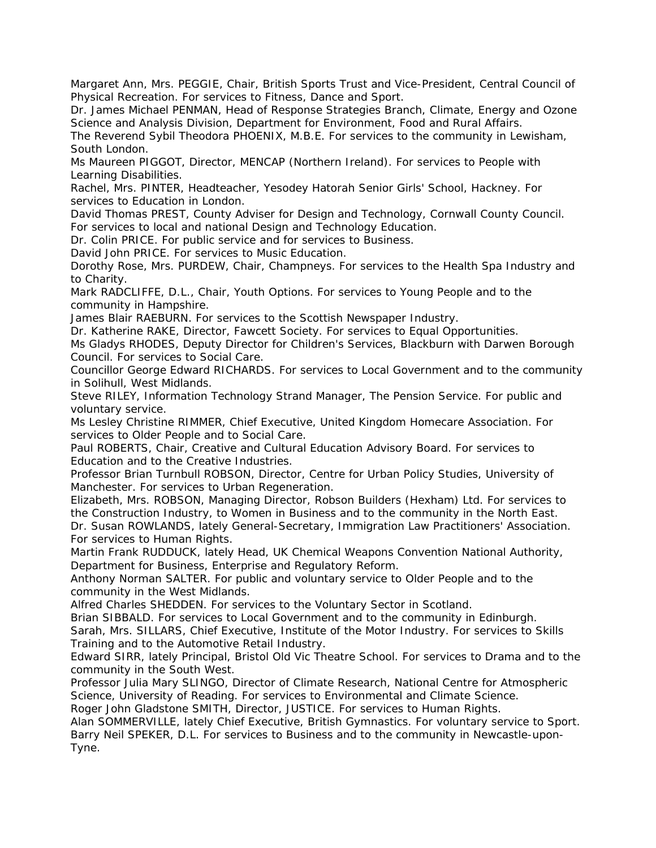Margaret Ann, Mrs. PEGGIE, Chair, British Sports Trust and Vice-President, Central Council of Physical Recreation. For services to Fitness, Dance and Sport.

Dr. James Michael PENMAN, Head of Response Strategies Branch, Climate, Energy and Ozone Science and Analysis Division, Department for Environment, Food and Rural Affairs.

The Reverend Sybil Theodora PHOENIX, M.B.E. For services to the community in Lewisham, South London.

Ms Maureen PIGGOT, Director, MENCAP (Northern Ireland). For services to People with Learning Disabilities.

Rachel, Mrs. PINTER, Headteacher, Yesodey Hatorah Senior Girls' School, Hackney. For services to Education in London.

David Thomas PREST, County Adviser for Design and Technology, Cornwall County Council. For services to local and national Design and Technology Education.

Dr. Colin PRICE. For public service and for services to Business.

David John PRICE. For services to Music Education.

Dorothy Rose, Mrs. PURDEW, Chair, Champneys. For services to the Health Spa Industry and to Charity.

Mark RADCLIFFE, D.L., Chair, Youth Options. For services to Young People and to the community in Hampshire.

James Blair RAEBURN. For services to the Scottish Newspaper Industry.

Dr. Katherine RAKE, Director, Fawcett Society. For services to Equal Opportunities.

Ms Gladys RHODES, Deputy Director for Children's Services, Blackburn with Darwen Borough Council. For services to Social Care.

Councillor George Edward RICHARDS. For services to Local Government and to the community in Solihull, West Midlands.

Steve RILEY, Information Technology Strand Manager, The Pension Service. For public and voluntary service.

Ms Lesley Christine RIMMER, Chief Executive, United Kingdom Homecare Association. For services to Older People and to Social Care.

Paul ROBERTS, Chair, Creative and Cultural Education Advisory Board. For services to Education and to the Creative Industries.

Professor Brian Turnbull ROBSON, Director, Centre for Urban Policy Studies, University of Manchester. For services to Urban Regeneration.

Elizabeth, Mrs. ROBSON, Managing Director, Robson Builders (Hexham) Ltd. For services to the Construction Industry, to Women in Business and to the community in the North East. Dr. Susan ROWLANDS, lately General-Secretary, Immigration Law Practitioners' Association.

For services to Human Rights.

Martin Frank RUDDUCK, lately Head, UK Chemical Weapons Convention National Authority, Department for Business, Enterprise and Regulatory Reform.

Anthony Norman SALTER. For public and voluntary service to Older People and to the community in the West Midlands.

Alfred Charles SHEDDEN. For services to the Voluntary Sector in Scotland.

Brian SIBBALD. For services to Local Government and to the community in Edinburgh. Sarah, Mrs. SILLARS, Chief Executive, Institute of the Motor Industry. For services to Skills Training and to the Automotive Retail Industry.

Edward SIRR, lately Principal, Bristol Old Vic Theatre School. For services to Drama and to the community in the South West.

Professor Julia Mary SLINGO, Director of Climate Research, National Centre for Atmospheric Science, University of Reading. For services to Environmental and Climate Science.

Roger John Gladstone SMITH, Director, JUSTICE. For services to Human Rights.

Alan SOMMERVILLE, lately Chief Executive, British Gymnastics. For voluntary service to Sport. Barry Neil SPEKER, D.L. For services to Business and to the community in Newcastle-upon-Tyne.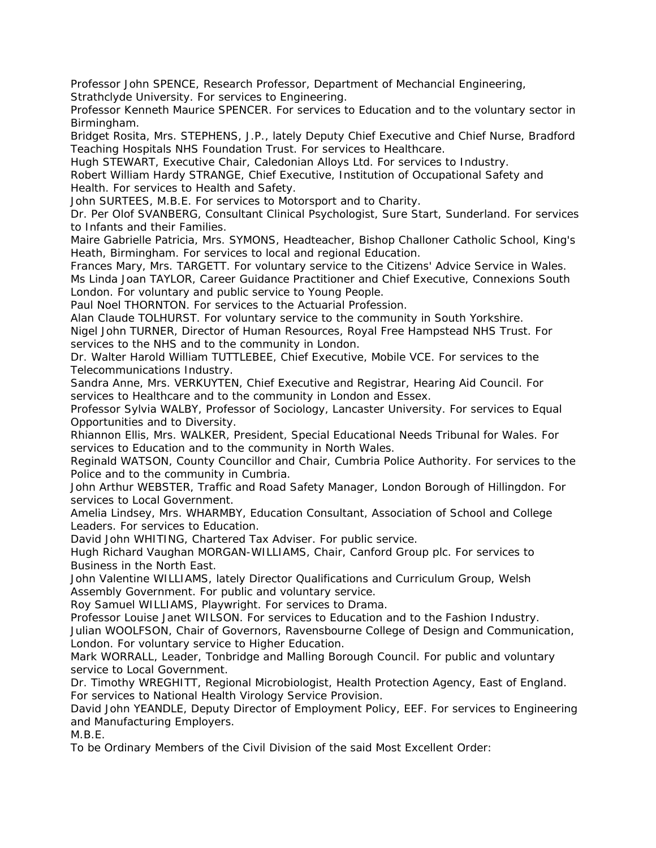Professor John SPENCE, Research Professor, Department of Mechancial Engineering, Strathclyde University. For services to Engineering.

Professor Kenneth Maurice SPENCER. For services to Education and to the voluntary sector in Birmingham.

Bridget Rosita, Mrs. STEPHENS, J.P., lately Deputy Chief Executive and Chief Nurse, Bradford Teaching Hospitals NHS Foundation Trust. For services to Healthcare.

Hugh STEWART, Executive Chair, Caledonian Alloys Ltd. For services to Industry.

Robert William Hardy STRANGE, Chief Executive, Institution of Occupational Safety and Health. For services to Health and Safety.

John SURTEES, M.B.E. For services to Motorsport and to Charity.

Dr. Per Olof SVANBERG, Consultant Clinical Psychologist, Sure Start, Sunderland. For services to Infants and their Families.

Maire Gabrielle Patricia, Mrs. SYMONS, Headteacher, Bishop Challoner Catholic School, King's Heath, Birmingham. For services to local and regional Education.

Frances Mary, Mrs. TARGETT. For voluntary service to the Citizens' Advice Service in Wales. Ms Linda Joan TAYLOR, Career Guidance Practitioner and Chief Executive, Connexions South London. For voluntary and public service to Young People.

Paul Noel THORNTON. For services to the Actuarial Profession.

Alan Claude TOLHURST. For voluntary service to the community in South Yorkshire. Nigel John TURNER, Director of Human Resources, Royal Free Hampstead NHS Trust. For services to the NHS and to the community in London.

Dr. Walter Harold William TUTTLEBEE, Chief Executive, Mobile VCE. For services to the Telecommunications Industry.

Sandra Anne, Mrs. VERKUYTEN, Chief Executive and Registrar, Hearing Aid Council. For services to Healthcare and to the community in London and Essex.

Professor Sylvia WALBY, Professor of Sociology, Lancaster University. For services to Equal Opportunities and to Diversity.

Rhiannon Ellis, Mrs. WALKER, President, Special Educational Needs Tribunal for Wales. For services to Education and to the community in North Wales.

Reginald WATSON, County Councillor and Chair, Cumbria Police Authority. For services to the Police and to the community in Cumbria.

John Arthur WEBSTER, Traffic and Road Safety Manager, London Borough of Hillingdon. For services to Local Government.

Amelia Lindsey, Mrs. WHARMBY, Education Consultant, Association of School and College Leaders. For services to Education.

David John WHITING, Chartered Tax Adviser. For public service.

Hugh Richard Vaughan MORGAN-WILLIAMS, Chair, Canford Group plc. For services to Business in the North East.

John Valentine WILLIAMS, lately Director Qualifications and Curriculum Group, Welsh Assembly Government. For public and voluntary service.

Roy Samuel WILLIAMS, Playwright. For services to Drama.

Professor Louise Janet WILSON. For services to Education and to the Fashion Industry. Julian WOOLFSON, Chair of Governors, Ravensbourne College of Design and Communication, London. For voluntary service to Higher Education.

Mark WORRALL, Leader, Tonbridge and Malling Borough Council. For public and voluntary service to Local Government.

Dr. Timothy WREGHITT, Regional Microbiologist, Health Protection Agency, East of England. For services to National Health Virology Service Provision.

David John YEANDLE, Deputy Director of Employment Policy, EEF. For services to Engineering and Manufacturing Employers.

M.B.E.

To be Ordinary Members of the Civil Division of the said Most Excellent Order: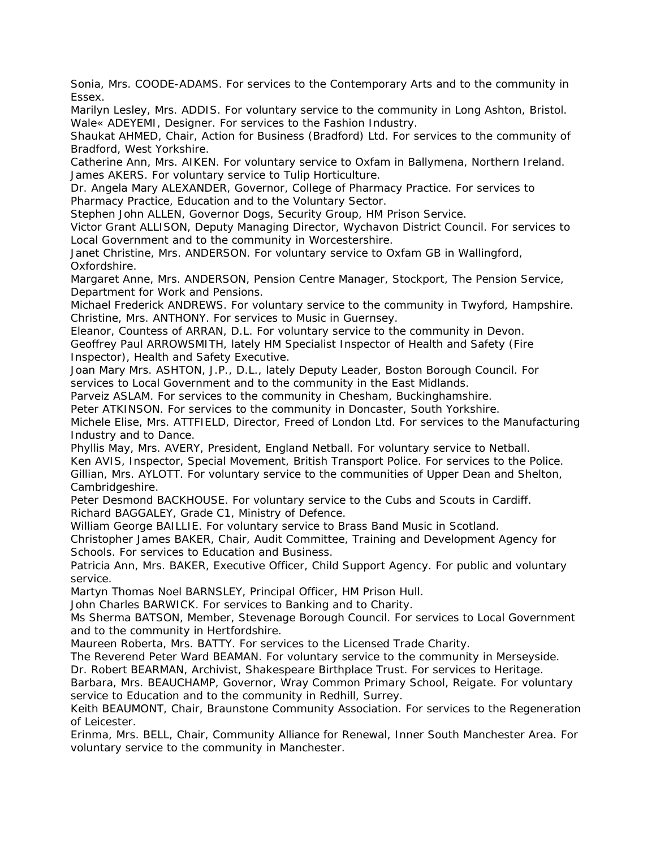Sonia, Mrs. COODE-ADAMS. For services to the Contemporary Arts and to the community in Essex.

Marilyn Lesley, Mrs. ADDIS. For voluntary service to the community in Long Ashton, Bristol. Wale« ADEYEMI, Designer. For services to the Fashion Industry.

Shaukat AHMED, Chair, Action for Business (Bradford) Ltd. For services to the community of Bradford, West Yorkshire.

Catherine Ann, Mrs. AIKEN. For voluntary service to Oxfam in Ballymena, Northern Ireland. James AKERS. For voluntary service to Tulip Horticulture.

Dr. Angela Mary ALEXANDER, Governor, College of Pharmacy Practice. For services to Pharmacy Practice, Education and to the Voluntary Sector.

Stephen John ALLEN, Governor Dogs, Security Group, HM Prison Service.

Victor Grant ALLISON, Deputy Managing Director, Wychavon District Council. For services to Local Government and to the community in Worcestershire.

Janet Christine, Mrs. ANDERSON. For voluntary service to Oxfam GB in Wallingford, Oxfordshire.

Margaret Anne, Mrs. ANDERSON, Pension Centre Manager, Stockport, The Pension Service, Department for Work and Pensions.

Michael Frederick ANDREWS. For voluntary service to the community in Twyford, Hampshire. Christine, Mrs. ANTHONY. For services to Music in Guernsey.

Eleanor, Countess of ARRAN, D.L. For voluntary service to the community in Devon. Geoffrey Paul ARROWSMITH, lately HM Specialist Inspector of Health and Safety (Fire Inspector), Health and Safety Executive.

Joan Mary Mrs. ASHTON, J.P., D.L., lately Deputy Leader, Boston Borough Council. For services to Local Government and to the community in the East Midlands.

Parveiz ASLAM. For services to the community in Chesham, Buckinghamshire.

Peter ATKINSON. For services to the community in Doncaster, South Yorkshire.

Michele Elise, Mrs. ATTFIELD, Director, Freed of London Ltd. For services to the Manufacturing Industry and to Dance.

Phyllis May, Mrs. AVERY, President, England Netball. For voluntary service to Netball. Ken AVIS, Inspector, Special Movement, British Transport Police. For services to the Police. Gillian, Mrs. AYLOTT. For voluntary service to the communities of Upper Dean and Shelton, Cambridgeshire.

Peter Desmond BACKHOUSE. For voluntary service to the Cubs and Scouts in Cardiff. Richard BAGGALEY, Grade C1, Ministry of Defence.

William George BAILLIE. For voluntary service to Brass Band Music in Scotland.

Christopher James BAKER, Chair, Audit Committee, Training and Development Agency for Schools. For services to Education and Business.

Patricia Ann, Mrs. BAKER, Executive Officer, Child Support Agency. For public and voluntary service.

Martyn Thomas Noel BARNSLEY, Principal Officer, HM Prison Hull.

John Charles BARWICK. For services to Banking and to Charity.

Ms Sherma BATSON, Member, Stevenage Borough Council. For services to Local Government and to the community in Hertfordshire.

Maureen Roberta, Mrs. BATTY. For services to the Licensed Trade Charity.

The Reverend Peter Ward BEAMAN. For voluntary service to the community in Merseyside. Dr. Robert BEARMAN, Archivist, Shakespeare Birthplace Trust. For services to Heritage.

Barbara, Mrs. BEAUCHAMP, Governor, Wray Common Primary School, Reigate. For voluntary service to Education and to the community in Redhill, Surrey.

Keith BEAUMONT, Chair, Braunstone Community Association. For services to the Regeneration of Leicester.

Erinma, Mrs. BELL, Chair, Community Alliance for Renewal, Inner South Manchester Area. For voluntary service to the community in Manchester.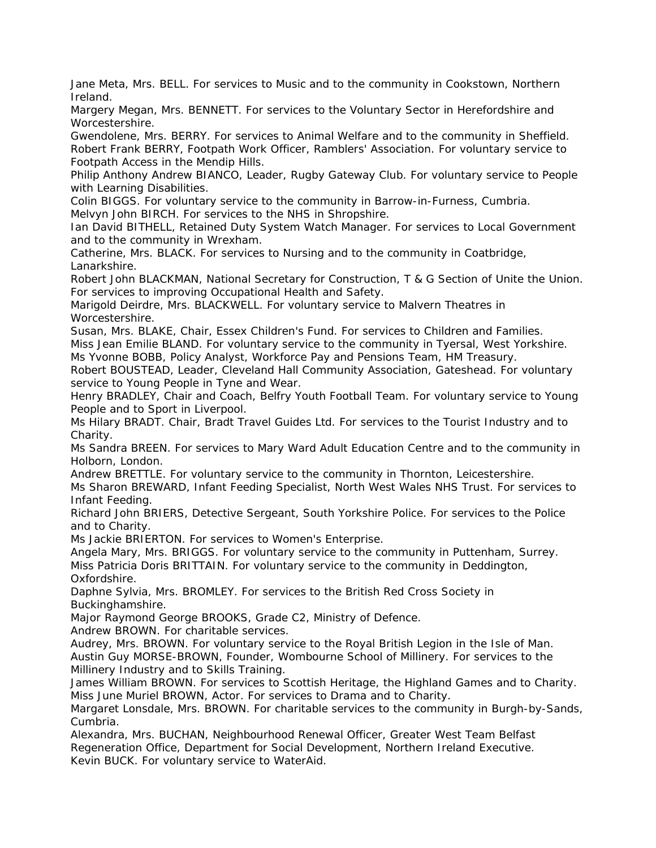Jane Meta, Mrs. BELL. For services to Music and to the community in Cookstown, Northern Ireland.

Margery Megan, Mrs. BENNETT. For services to the Voluntary Sector in Herefordshire and Worcestershire.

Gwendolene, Mrs. BERRY. For services to Animal Welfare and to the community in Sheffield. Robert Frank BERRY, Footpath Work Officer, Ramblers' Association. For voluntary service to Footpath Access in the Mendip Hills.

Philip Anthony Andrew BIANCO, Leader, Rugby Gateway Club. For voluntary service to People with Learning Disabilities.

Colin BIGGS. For voluntary service to the community in Barrow-in-Furness, Cumbria. Melvyn John BIRCH. For services to the NHS in Shropshire.

Ian David BITHELL, Retained Duty System Watch Manager. For services to Local Government and to the community in Wrexham.

Catherine, Mrs. BLACK. For services to Nursing and to the community in Coatbridge, Lanarkshire.

Robert John BLACKMAN, National Secretary for Construction, T & G Section of Unite the Union. For services to improving Occupational Health and Safety.

Marigold Deirdre, Mrs. BLACKWELL. For voluntary service to Malvern Theatres in Worcestershire.

Susan, Mrs. BLAKE, Chair, Essex Children's Fund. For services to Children and Families.

Miss Jean Emilie BLAND. For voluntary service to the community in Tyersal, West Yorkshire. Ms Yvonne BOBB, Policy Analyst, Workforce Pay and Pensions Team, HM Treasury.

Robert BOUSTEAD, Leader, Cleveland Hall Community Association, Gateshead. For voluntary service to Young People in Tyne and Wear.

Henry BRADLEY, Chair and Coach, Belfry Youth Football Team. For voluntary service to Young People and to Sport in Liverpool.

Ms Hilary BRADT. Chair, Bradt Travel Guides Ltd. For services to the Tourist Industry and to Charity.

Ms Sandra BREEN. For services to Mary Ward Adult Education Centre and to the community in Holborn, London.

Andrew BRETTLE. For voluntary service to the community in Thornton, Leicestershire.

Ms Sharon BREWARD, Infant Feeding Specialist, North West Wales NHS Trust. For services to Infant Feeding.

Richard John BRIERS, Detective Sergeant, South Yorkshire Police. For services to the Police and to Charity.

Ms Jackie BRIERTON. For services to Women's Enterprise.

Angela Mary, Mrs. BRIGGS. For voluntary service to the community in Puttenham, Surrey. Miss Patricia Doris BRITTAIN. For voluntary service to the community in Deddington, Oxfordshire.

Daphne Sylvia, Mrs. BROMLEY. For services to the British Red Cross Society in Buckinghamshire.

Major Raymond George BROOKS, Grade C2, Ministry of Defence.

Andrew BROWN. For charitable services.

Audrey, Mrs. BROWN. For voluntary service to the Royal British Legion in the Isle of Man. Austin Guy MORSE-BROWN, Founder, Wombourne School of Millinery. For services to the Millinery Industry and to Skills Training.

James William BROWN. For services to Scottish Heritage, the Highland Games and to Charity. Miss June Muriel BROWN, Actor. For services to Drama and to Charity.

Margaret Lonsdale, Mrs. BROWN. For charitable services to the community in Burgh-by-Sands, Cumbria.

Alexandra, Mrs. BUCHAN, Neighbourhood Renewal Officer, Greater West Team Belfast Regeneration Office, Department for Social Development, Northern Ireland Executive. Kevin BUCK. For voluntary service to WaterAid.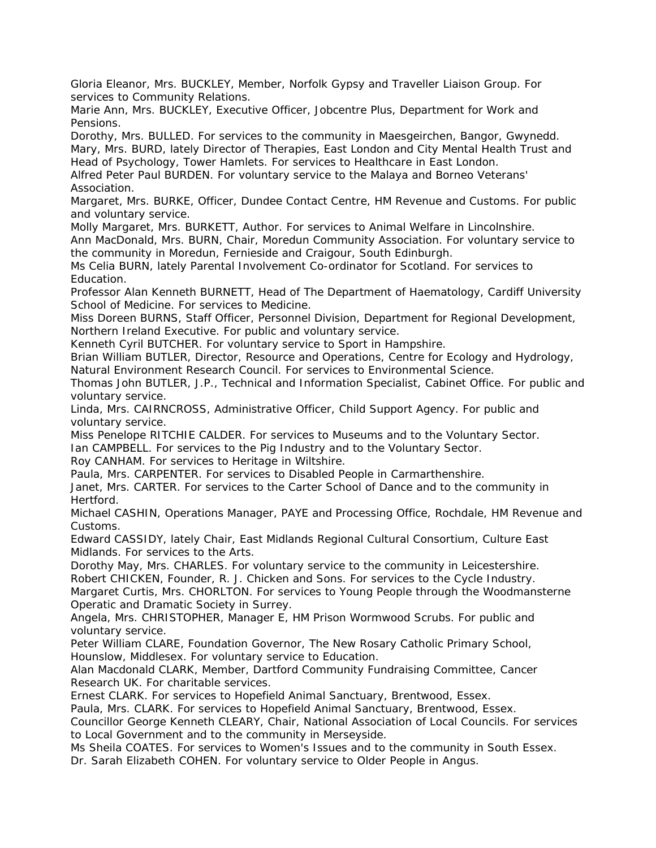Gloria Eleanor, Mrs. BUCKLEY, Member, Norfolk Gypsy and Traveller Liaison Group. For services to Community Relations.

Marie Ann, Mrs. BUCKLEY, Executive Officer, Jobcentre Plus, Department for Work and Pensions.

Dorothy, Mrs. BULLED. For services to the community in Maesgeirchen, Bangor, Gwynedd. Mary, Mrs. BURD, lately Director of Therapies, East London and City Mental Health Trust and Head of Psychology, Tower Hamlets. For services to Healthcare in East London.

Alfred Peter Paul BURDEN. For voluntary service to the Malaya and Borneo Veterans' Association.

Margaret, Mrs. BURKE, Officer, Dundee Contact Centre, HM Revenue and Customs. For public and voluntary service.

Molly Margaret, Mrs. BURKETT, Author. For services to Animal Welfare in Lincolnshire.

Ann MacDonald, Mrs. BURN, Chair, Moredun Community Association. For voluntary service to the community in Moredun, Fernieside and Craigour, South Edinburgh.

Ms Celia BURN, lately Parental Involvement Co-ordinator for Scotland. For services to Education.

Professor Alan Kenneth BURNETT, Head of The Department of Haematology, Cardiff University School of Medicine. For services to Medicine.

Miss Doreen BURNS, Staff Officer, Personnel Division, Department for Regional Development, Northern Ireland Executive. For public and voluntary service.

Kenneth Cyril BUTCHER. For voluntary service to Sport in Hampshire.

Brian William BUTLER, Director, Resource and Operations, Centre for Ecology and Hydrology, Natural Environment Research Council. For services to Environmental Science.

Thomas John BUTLER, J.P., Technical and Information Specialist, Cabinet Office. For public and voluntary service.

Linda, Mrs. CAIRNCROSS, Administrative Officer, Child Support Agency. For public and voluntary service.

Miss Penelope RITCHIE CALDER. For services to Museums and to the Voluntary Sector. Ian CAMPBELL. For services to the Pig Industry and to the Voluntary Sector.

Roy CANHAM. For services to Heritage in Wiltshire.

Paula, Mrs. CARPENTER. For services to Disabled People in Carmarthenshire.

Janet, Mrs. CARTER. For services to the Carter School of Dance and to the community in Hertford.

Michael CASHIN, Operations Manager, PAYE and Processing Office, Rochdale, HM Revenue and Customs.

Edward CASSIDY, lately Chair, East Midlands Regional Cultural Consortium, Culture East Midlands. For services to the Arts.

Dorothy May, Mrs. CHARLES. For voluntary service to the community in Leicestershire. Robert CHICKEN, Founder, R. J. Chicken and Sons. For services to the Cycle Industry.

Margaret Curtis, Mrs. CHORLTON. For services to Young People through the Woodmansterne Operatic and Dramatic Society in Surrey.

Angela, Mrs. CHRISTOPHER, Manager E, HM Prison Wormwood Scrubs. For public and voluntary service.

Peter William CLARE, Foundation Governor, The New Rosary Catholic Primary School, Hounslow, Middlesex. For voluntary service to Education.

Alan Macdonald CLARK, Member, Dartford Community Fundraising Committee, Cancer Research UK. For charitable services.

Ernest CLARK. For services to Hopefield Animal Sanctuary, Brentwood, Essex.

Paula, Mrs. CLARK. For services to Hopefield Animal Sanctuary, Brentwood, Essex.

Councillor George Kenneth CLEARY, Chair, National Association of Local Councils. For services to Local Government and to the community in Merseyside.

Ms Sheila COATES. For services to Women's Issues and to the community in South Essex.

Dr. Sarah Elizabeth COHEN. For voluntary service to Older People in Angus.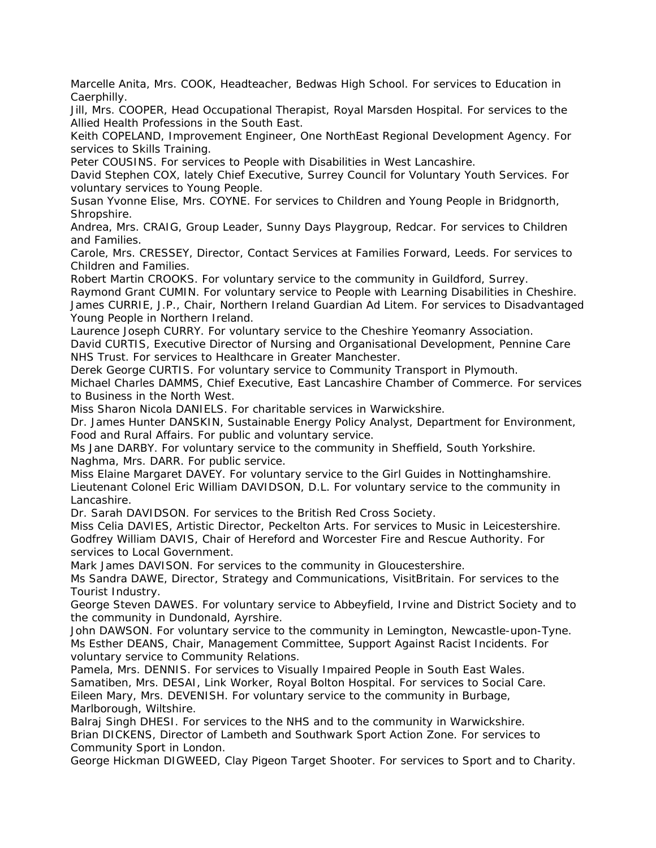Marcelle Anita, Mrs. COOK, Headteacher, Bedwas High School. For services to Education in Caerphilly.

Jill, Mrs. COOPER, Head Occupational Therapist, Royal Marsden Hospital. For services to the Allied Health Professions in the South East.

Keith COPELAND, Improvement Engineer, One NorthEast Regional Development Agency. For services to Skills Training.

Peter COUSINS. For services to People with Disabilities in West Lancashire.

David Stephen COX, lately Chief Executive, Surrey Council for Voluntary Youth Services. For voluntary services to Young People.

Susan Yvonne Elise, Mrs. COYNE. For services to Children and Young People in Bridgnorth, Shropshire.

Andrea, Mrs. CRAIG, Group Leader, Sunny Days Playgroup, Redcar. For services to Children and Families.

Carole, Mrs. CRESSEY, Director, Contact Services at Families Forward, Leeds. For services to Children and Families.

Robert Martin CROOKS. For voluntary service to the community in Guildford, Surrey. Raymond Grant CUMIN. For voluntary service to People with Learning Disabilities in Cheshire. James CURRIE, J.P., Chair, Northern Ireland Guardian Ad Litem. For services to Disadvantaged Young People in Northern Ireland.

Laurence Joseph CURRY. For voluntary service to the Cheshire Yeomanry Association.

David CURTIS, Executive Director of Nursing and Organisational Development, Pennine Care NHS Trust. For services to Healthcare in Greater Manchester.

Derek George CURTIS. For voluntary service to Community Transport in Plymouth. Michael Charles DAMMS, Chief Executive, East Lancashire Chamber of Commerce. For services to Business in the North West.

Miss Sharon Nicola DANIELS. For charitable services in Warwickshire.

Dr. James Hunter DANSKIN, Sustainable Energy Policy Analyst, Department for Environment, Food and Rural Affairs. For public and voluntary service.

Ms Jane DARBY. For voluntary service to the community in Sheffield, South Yorkshire. Naghma, Mrs. DARR. For public service.

Miss Elaine Margaret DAVEY. For voluntary service to the Girl Guides in Nottinghamshire. Lieutenant Colonel Eric William DAVIDSON, D.L. For voluntary service to the community in Lancashire.

Dr. Sarah DAVIDSON. For services to the British Red Cross Society.

Miss Celia DAVIES, Artistic Director, Peckelton Arts. For services to Music in Leicestershire. Godfrey William DAVIS, Chair of Hereford and Worcester Fire and Rescue Authority. For services to Local Government.

Mark James DAVISON. For services to the community in Gloucestershire.

Ms Sandra DAWE, Director, Strategy and Communications, VisitBritain. For services to the Tourist Industry.

George Steven DAWES. For voluntary service to Abbeyfield, Irvine and District Society and to the community in Dundonald, Ayrshire.

John DAWSON. For voluntary service to the community in Lemington, Newcastle-upon-Tyne. Ms Esther DEANS, Chair, Management Committee, Support Against Racist Incidents. For voluntary service to Community Relations.

Pamela, Mrs. DENNIS. For services to Visually Impaired People in South East Wales. Samatiben, Mrs. DESAI, Link Worker, Royal Bolton Hospital. For services to Social Care. Eileen Mary, Mrs. DEVENISH. For voluntary service to the community in Burbage, Marlborough, Wiltshire.

Balraj Singh DHESI. For services to the NHS and to the community in Warwickshire. Brian DICKENS, Director of Lambeth and Southwark Sport Action Zone. For services to Community Sport in London.

George Hickman DIGWEED, Clay Pigeon Target Shooter. For services to Sport and to Charity.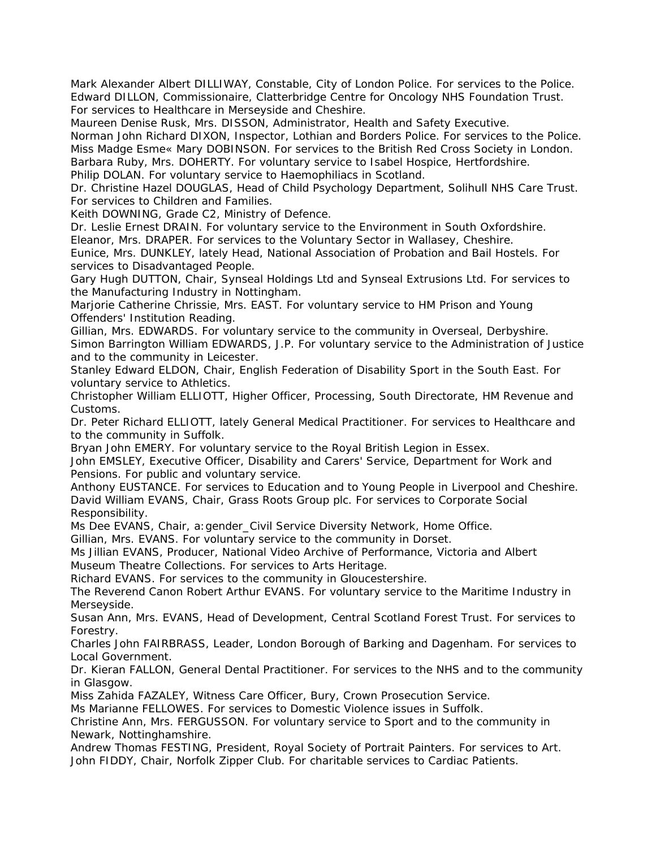Mark Alexander Albert DILLIWAY, Constable, City of London Police. For services to the Police. Edward DILLON, Commissionaire, Clatterbridge Centre for Oncology NHS Foundation Trust. For services to Healthcare in Merseyside and Cheshire.

Maureen Denise Rusk, Mrs. DISSON, Administrator, Health and Safety Executive.

Norman John Richard DIXON, Inspector, Lothian and Borders Police. For services to the Police. Miss Madge Esme« Mary DOBINSON. For services to the British Red Cross Society in London. Barbara Ruby, Mrs. DOHERTY. For voluntary service to Isabel Hospice, Hertfordshire.

Philip DOLAN. For voluntary service to Haemophiliacs in Scotland.

Dr. Christine Hazel DOUGLAS, Head of Child Psychology Department, Solihull NHS Care Trust. For services to Children and Families.

Keith DOWNING, Grade C2, Ministry of Defence.

Dr. Leslie Ernest DRAIN. For voluntary service to the Environment in South Oxfordshire. Eleanor, Mrs. DRAPER. For services to the Voluntary Sector in Wallasey, Cheshire.

Eunice, Mrs. DUNKLEY, lately Head, National Association of Probation and Bail Hostels. For services to Disadvantaged People.

Gary Hugh DUTTON, Chair, Synseal Holdings Ltd and Synseal Extrusions Ltd. For services to the Manufacturing Industry in Nottingham.

Marjorie Catherine Chrissie, Mrs. EAST. For voluntary service to HM Prison and Young Offenders' Institution Reading.

Gillian, Mrs. EDWARDS. For voluntary service to the community in Overseal, Derbyshire. Simon Barrington William EDWARDS, J.P. For voluntary service to the Administration of Justice and to the community in Leicester.

Stanley Edward ELDON, Chair, English Federation of Disability Sport in the South East. For voluntary service to Athletics.

Christopher William ELLIOTT, Higher Officer, Processing, South Directorate, HM Revenue and Customs.

Dr. Peter Richard ELLIOTT, lately General Medical Practitioner. For services to Healthcare and to the community in Suffolk.

Bryan John EMERY. For voluntary service to the Royal British Legion in Essex.

John EMSLEY, Executive Officer, Disability and Carers' Service, Department for Work and Pensions. For public and voluntary service.

Anthony EUSTANCE. For services to Education and to Young People in Liverpool and Cheshire. David William EVANS, Chair, Grass Roots Group plc. For services to Corporate Social Responsibility.

Ms Dee EVANS, Chair, a:gender\_Civil Service Diversity Network, Home Office.

Gillian, Mrs. EVANS. For voluntary service to the community in Dorset.

Ms Jillian EVANS, Producer, National Video Archive of Performance, Victoria and Albert Museum Theatre Collections. For services to Arts Heritage.

Richard EVANS. For services to the community in Gloucestershire.

The Reverend Canon Robert Arthur EVANS. For voluntary service to the Maritime Industry in Merseyside.

Susan Ann, Mrs. EVANS, Head of Development, Central Scotland Forest Trust. For services to Forestry.

Charles John FAIRBRASS, Leader, London Borough of Barking and Dagenham. For services to Local Government.

Dr. Kieran FALLON, General Dental Practitioner. For services to the NHS and to the community in Glasgow.

Miss Zahida FAZALEY, Witness Care Officer, Bury, Crown Prosecution Service.

Ms Marianne FELLOWES. For services to Domestic Violence issues in Suffolk.

Christine Ann, Mrs. FERGUSSON. For voluntary service to Sport and to the community in Newark, Nottinghamshire.

Andrew Thomas FESTING, President, Royal Society of Portrait Painters. For services to Art. John FIDDY, Chair, Norfolk Zipper Club. For charitable services to Cardiac Patients.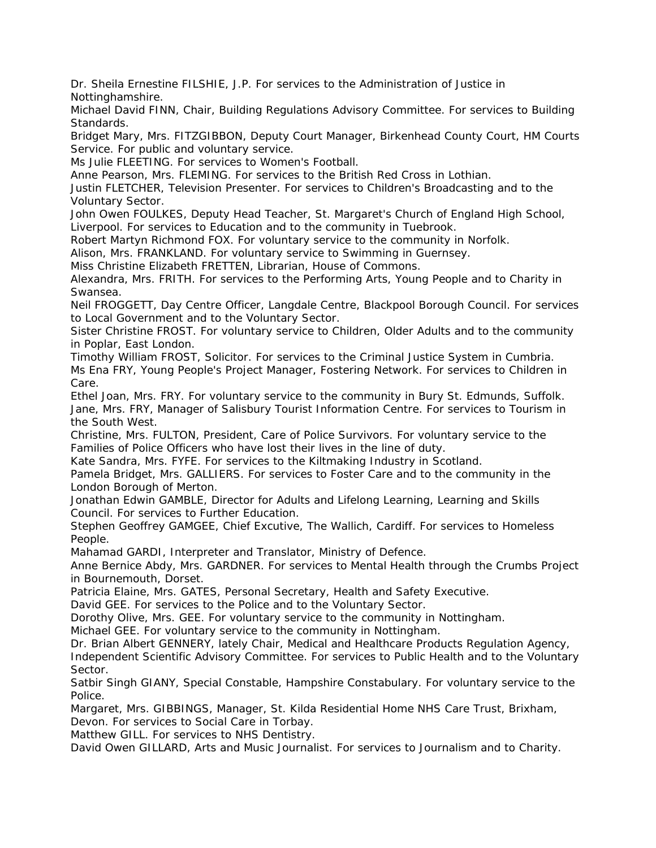Dr. Sheila Ernestine FILSHIE, J.P. For services to the Administration of Justice in Nottinghamshire.

Michael David FINN, Chair, Building Regulations Advisory Committee. For services to Building Standards.

Bridget Mary, Mrs. FITZGIBBON, Deputy Court Manager, Birkenhead County Court, HM Courts Service. For public and voluntary service.

Ms Julie FLEETING. For services to Women's Football.

Anne Pearson, Mrs. FLEMING. For services to the British Red Cross in Lothian.

Justin FLETCHER, Television Presenter. For services to Children's Broadcasting and to the Voluntary Sector.

John Owen FOULKES, Deputy Head Teacher, St. Margaret's Church of England High School, Liverpool. For services to Education and to the community in Tuebrook.

Robert Martyn Richmond FOX. For voluntary service to the community in Norfolk.

Alison, Mrs. FRANKLAND. For voluntary service to Swimming in Guernsey.

Miss Christine Elizabeth FRETTEN, Librarian, House of Commons.

Alexandra, Mrs. FRITH. For services to the Performing Arts, Young People and to Charity in Swansea.

Neil FROGGETT, Day Centre Officer, Langdale Centre, Blackpool Borough Council. For services to Local Government and to the Voluntary Sector.

Sister Christine FROST. For voluntary service to Children, Older Adults and to the community in Poplar, East London.

Timothy William FROST, Solicitor. For services to the Criminal Justice System in Cumbria. Ms Ena FRY, Young People's Project Manager, Fostering Network. For services to Children in Care.

Ethel Joan, Mrs. FRY. For voluntary service to the community in Bury St. Edmunds, Suffolk. Jane, Mrs. FRY, Manager of Salisbury Tourist Information Centre. For services to Tourism in the South West.

Christine, Mrs. FULTON, President, Care of Police Survivors. For voluntary service to the Families of Police Officers who have lost their lives in the line of duty.

Kate Sandra, Mrs. FYFE. For services to the Kiltmaking Industry in Scotland.

Pamela Bridget, Mrs. GALLIERS. For services to Foster Care and to the community in the London Borough of Merton.

Jonathan Edwin GAMBLE, Director for Adults and Lifelong Learning, Learning and Skills Council. For services to Further Education.

Stephen Geoffrey GAMGEE, Chief Excutive, The Wallich, Cardiff. For services to Homeless People.

Mahamad GARDI, Interpreter and Translator, Ministry of Defence.

Anne Bernice Abdy, Mrs. GARDNER. For services to Mental Health through the Crumbs Project in Bournemouth, Dorset.

Patricia Elaine, Mrs. GATES, Personal Secretary, Health and Safety Executive.

David GEE. For services to the Police and to the Voluntary Sector.

Dorothy Olive, Mrs. GEE. For voluntary service to the community in Nottingham.

Michael GEE. For voluntary service to the community in Nottingham.

Dr. Brian Albert GENNERY, lately Chair, Medical and Healthcare Products Regulation Agency, Independent Scientific Advisory Committee. For services to Public Health and to the Voluntary

Sector. Satbir Singh GIANY, Special Constable, Hampshire Constabulary. For voluntary service to the Police.

Margaret, Mrs. GIBBINGS, Manager, St. Kilda Residential Home NHS Care Trust, Brixham, Devon. For services to Social Care in Torbay.

Matthew GILL. For services to NHS Dentistry.

David Owen GILLARD, Arts and Music Journalist. For services to Journalism and to Charity.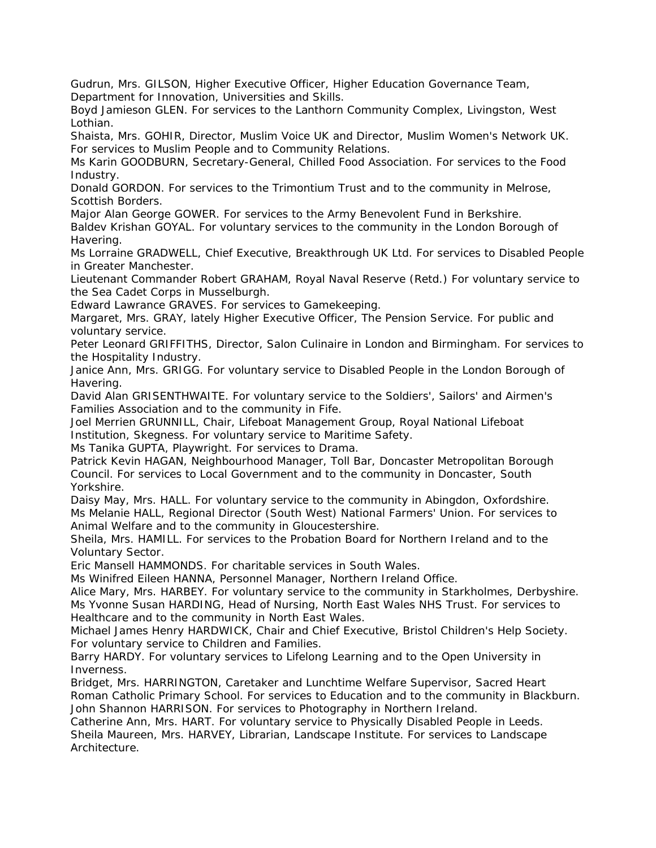Gudrun, Mrs. GILSON, Higher Executive Officer, Higher Education Governance Team, Department for Innovation, Universities and Skills.

Boyd Jamieson GLEN. For services to the Lanthorn Community Complex, Livingston, West Lothian.

Shaista, Mrs. GOHIR, Director, Muslim Voice UK and Director, Muslim Women's Network UK. For services to Muslim People and to Community Relations.

Ms Karin GOODBURN, Secretary-General, Chilled Food Association. For services to the Food Industry.

Donald GORDON. For services to the Trimontium Trust and to the community in Melrose, Scottish Borders.

Major Alan George GOWER. For services to the Army Benevolent Fund in Berkshire.

Baldev Krishan GOYAL. For voluntary services to the community in the London Borough of Havering.

Ms Lorraine GRADWELL, Chief Executive, Breakthrough UK Ltd. For services to Disabled People in Greater Manchester.

Lieutenant Commander Robert GRAHAM, Royal Naval Reserve (Retd.) For voluntary service to the Sea Cadet Corps in Musselburgh.

Edward Lawrance GRAVES. For services to Gamekeeping.

Margaret, Mrs. GRAY, lately Higher Executive Officer, The Pension Service. For public and voluntary service.

Peter Leonard GRIFFITHS, Director, Salon Culinaire in London and Birmingham. For services to the Hospitality Industry.

Janice Ann, Mrs. GRIGG. For voluntary service to Disabled People in the London Borough of Havering.

David Alan GRISENTHWAITE. For voluntary service to the Soldiers', Sailors' and Airmen's Families Association and to the community in Fife.

Joel Merrien GRUNNILL, Chair, Lifeboat Management Group, Royal National Lifeboat Institution, Skegness. For voluntary service to Maritime Safety.

Ms Tanika GUPTA, Playwright. For services to Drama.

Patrick Kevin HAGAN, Neighbourhood Manager, Toll Bar, Doncaster Metropolitan Borough Council. For services to Local Government and to the community in Doncaster, South Yorkshire.

Daisy May, Mrs. HALL. For voluntary service to the community in Abingdon, Oxfordshire. Ms Melanie HALL, Regional Director (South West) National Farmers' Union. For services to Animal Welfare and to the community in Gloucestershire.

Sheila, Mrs. HAMILL. For services to the Probation Board for Northern Ireland and to the Voluntary Sector.

Eric Mansell HAMMONDS. For charitable services in South Wales.

Ms Winifred Eileen HANNA, Personnel Manager, Northern Ireland Office.

Alice Mary, Mrs. HARBEY. For voluntary service to the community in Starkholmes, Derbyshire. Ms Yvonne Susan HARDING, Head of Nursing, North East Wales NHS Trust. For services to Healthcare and to the community in North East Wales.

Michael James Henry HARDWICK, Chair and Chief Executive, Bristol Children's Help Society. For voluntary service to Children and Families.

Barry HARDY. For voluntary services to Lifelong Learning and to the Open University in Inverness.

Bridget, Mrs. HARRINGTON, Caretaker and Lunchtime Welfare Supervisor, Sacred Heart Roman Catholic Primary School. For services to Education and to the community in Blackburn. John Shannon HARRISON. For services to Photography in Northern Ireland.

Catherine Ann, Mrs. HART. For voluntary service to Physically Disabled People in Leeds. Sheila Maureen, Mrs. HARVEY, Librarian, Landscape Institute. For services to Landscape Architecture.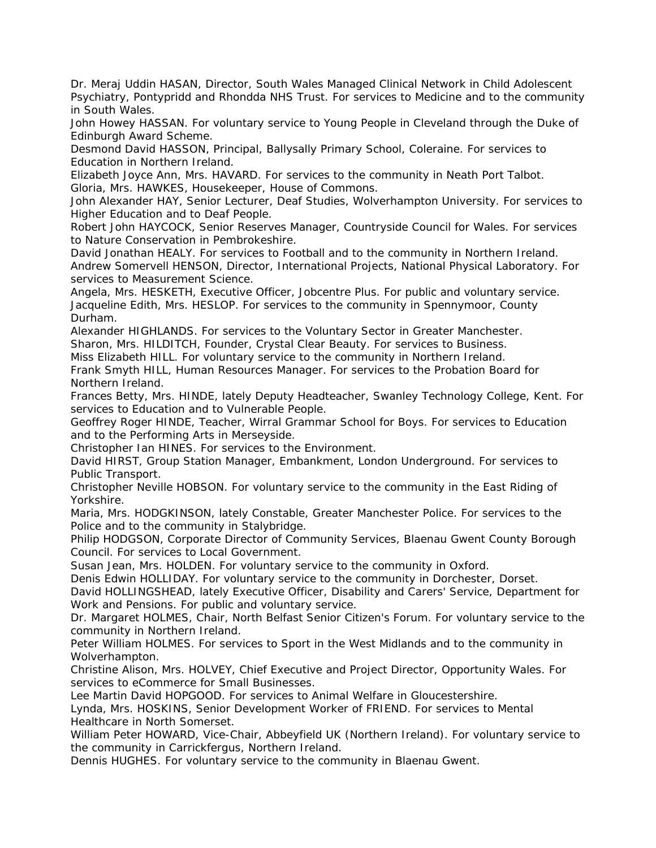Dr. Meraj Uddin HASAN, Director, South Wales Managed Clinical Network in Child Adolescent Psychiatry, Pontypridd and Rhondda NHS Trust. For services to Medicine and to the community in South Wales.

John Howey HASSAN. For voluntary service to Young People in Cleveland through the Duke of Edinburgh Award Scheme.

Desmond David HASSON, Principal, Ballysally Primary School, Coleraine. For services to Education in Northern Ireland.

Elizabeth Joyce Ann, Mrs. HAVARD. For services to the community in Neath Port Talbot. Gloria, Mrs. HAWKES, Housekeeper, House of Commons.

John Alexander HAY, Senior Lecturer, Deaf Studies, Wolverhampton University. For services to Higher Education and to Deaf People.

Robert John HAYCOCK, Senior Reserves Manager, Countryside Council for Wales. For services to Nature Conservation in Pembrokeshire.

David Jonathan HEALY. For services to Football and to the community in Northern Ireland. Andrew Somervell HENSON, Director, International Projects, National Physical Laboratory. For services to Measurement Science.

Angela, Mrs. HESKETH, Executive Officer, Jobcentre Plus. For public and voluntary service. Jacqueline Edith, Mrs. HESLOP. For services to the community in Spennymoor, County Durham.

Alexander HIGHLANDS. For services to the Voluntary Sector in Greater Manchester. Sharon, Mrs. HILDITCH, Founder, Crystal Clear Beauty. For services to Business.

Miss Elizabeth HILL. For voluntary service to the community in Northern Ireland.

Frank Smyth HILL, Human Resources Manager. For services to the Probation Board for Northern Ireland.

Frances Betty, Mrs. HINDE, lately Deputy Headteacher, Swanley Technology College, Kent. For services to Education and to Vulnerable People.

Geoffrey Roger HINDE, Teacher, Wirral Grammar School for Boys. For services to Education and to the Performing Arts in Merseyside.

Christopher Ian HINES. For services to the Environment.

David HIRST, Group Station Manager, Embankment, London Underground. For services to Public Transport.

Christopher Neville HOBSON. For voluntary service to the community in the East Riding of Yorkshire.

Maria, Mrs. HODGKINSON, lately Constable, Greater Manchester Police. For services to the Police and to the community in Stalybridge.

Philip HODGSON, Corporate Director of Community Services, Blaenau Gwent County Borough Council. For services to Local Government.

Susan Jean, Mrs. HOLDEN. For voluntary service to the community in Oxford.

Denis Edwin HOLLIDAY. For voluntary service to the community in Dorchester, Dorset.

David HOLLINGSHEAD, lately Executive Officer, Disability and Carers' Service, Department for Work and Pensions. For public and voluntary service.

Dr. Margaret HOLMES, Chair, North Belfast Senior Citizen's Forum. For voluntary service to the community in Northern Ireland.

Peter William HOLMES. For services to Sport in the West Midlands and to the community in Wolverhampton.

Christine Alison, Mrs. HOLVEY, Chief Executive and Project Director, Opportunity Wales. For services to eCommerce for Small Businesses.

Lee Martin David HOPGOOD. For services to Animal Welfare in Gloucestershire.

Lynda, Mrs. HOSKINS, Senior Development Worker of FRIEND. For services to Mental Healthcare in North Somerset.

William Peter HOWARD, Vice-Chair, Abbeyfield UK (Northern Ireland). For voluntary service to the community in Carrickfergus, Northern Ireland.

Dennis HUGHES. For voluntary service to the community in Blaenau Gwent.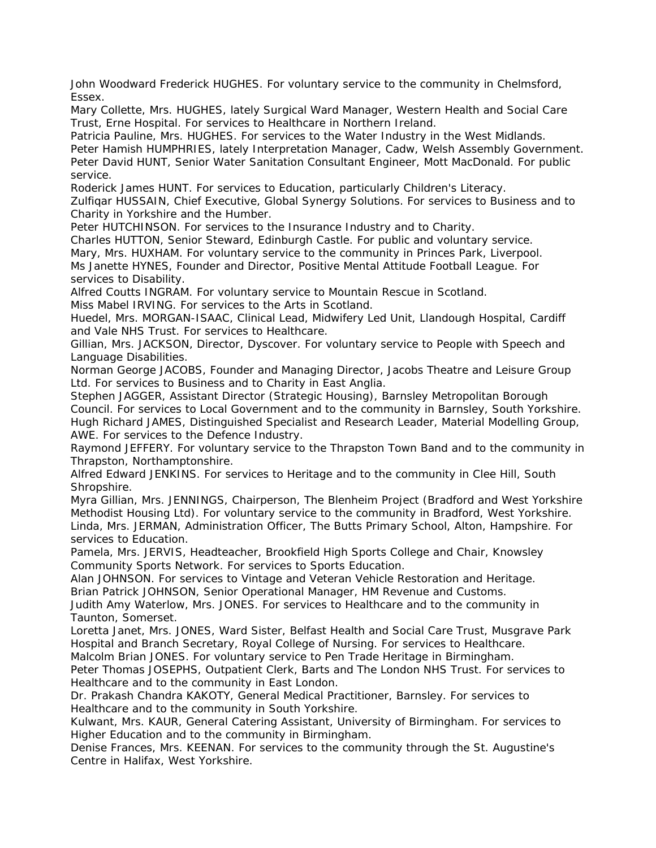John Woodward Frederick HUGHES. For voluntary service to the community in Chelmsford, Essex.

Mary Collette, Mrs. HUGHES, lately Surgical Ward Manager, Western Health and Social Care Trust, Erne Hospital. For services to Healthcare in Northern Ireland.

Patricia Pauline, Mrs. HUGHES. For services to the Water Industry in the West Midlands. Peter Hamish HUMPHRIES, lately Interpretation Manager, Cadw, Welsh Assembly Government. Peter David HUNT, Senior Water Sanitation Consultant Engineer, Mott MacDonald. For public service.

Roderick James HUNT. For services to Education, particularly Children's Literacy.

Zulfiqar HUSSAIN, Chief Executive, Global Synergy Solutions. For services to Business and to Charity in Yorkshire and the Humber.

Peter HUTCHINSON. For services to the Insurance Industry and to Charity.

Charles HUTTON, Senior Steward, Edinburgh Castle. For public and voluntary service.

Mary, Mrs. HUXHAM. For voluntary service to the community in Princes Park, Liverpool. Ms Janette HYNES, Founder and Director, Positive Mental Attitude Football League. For services to Disability.

Alfred Coutts INGRAM. For voluntary service to Mountain Rescue in Scotland.

Miss Mabel IRVING. For services to the Arts in Scotland.

Huedel, Mrs. MORGAN-ISAAC, Clinical Lead, Midwifery Led Unit, Llandough Hospital, Cardiff and Vale NHS Trust. For services to Healthcare.

Gillian, Mrs. JACKSON, Director, Dyscover. For voluntary service to People with Speech and Language Disabilities.

Norman George JACOBS, Founder and Managing Director, Jacobs Theatre and Leisure Group Ltd. For services to Business and to Charity in East Anglia.

Stephen JAGGER, Assistant Director (Strategic Housing), Barnsley Metropolitan Borough Council. For services to Local Government and to the community in Barnsley, South Yorkshire. Hugh Richard JAMES, Distinguished Specialist and Research Leader, Material Modelling Group, AWE. For services to the Defence Industry.

Raymond JEFFERY. For voluntary service to the Thrapston Town Band and to the community in Thrapston, Northamptonshire.

Alfred Edward JENKINS. For services to Heritage and to the community in Clee Hill, South Shropshire.

Myra Gillian, Mrs. JENNINGS, Chairperson, The Blenheim Project (Bradford and West Yorkshire Methodist Housing Ltd). For voluntary service to the community in Bradford, West Yorkshire. Linda, Mrs. JERMAN, Administration Officer, The Butts Primary School, Alton, Hampshire. For services to Education.

Pamela, Mrs. JERVIS, Headteacher, Brookfield High Sports College and Chair, Knowsley Community Sports Network. For services to Sports Education.

Alan JOHNSON. For services to Vintage and Veteran Vehicle Restoration and Heritage.

Brian Patrick JOHNSON, Senior Operational Manager, HM Revenue and Customs.

Judith Amy Waterlow, Mrs. JONES. For services to Healthcare and to the community in Taunton, Somerset.

Loretta Janet, Mrs. JONES, Ward Sister, Belfast Health and Social Care Trust, Musgrave Park Hospital and Branch Secretary, Royal College of Nursing. For services to Healthcare.

Malcolm Brian JONES. For voluntary service to Pen Trade Heritage in Birmingham.

Peter Thomas JOSEPHS, Outpatient Clerk, Barts and The London NHS Trust. For services to Healthcare and to the community in East London.

Dr. Prakash Chandra KAKOTY, General Medical Practitioner, Barnsley. For services to Healthcare and to the community in South Yorkshire.

Kulwant, Mrs. KAUR, General Catering Assistant, University of Birmingham. For services to Higher Education and to the community in Birmingham.

Denise Frances, Mrs. KEENAN. For services to the community through the St. Augustine's Centre in Halifax, West Yorkshire.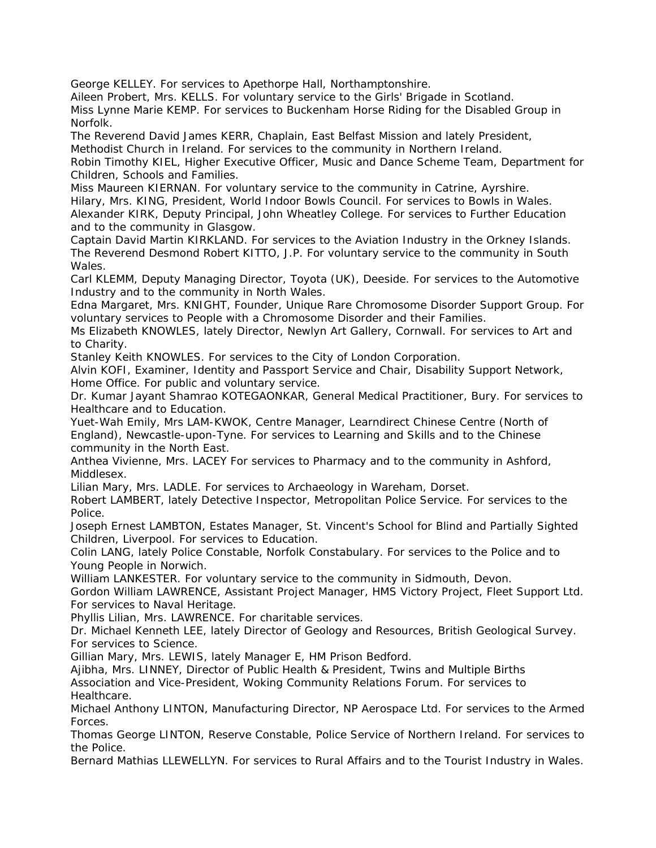George KELLEY. For services to Apethorpe Hall, Northamptonshire.

Aileen Probert, Mrs. KELLS. For voluntary service to the Girls' Brigade in Scotland. Miss Lynne Marie KEMP. For services to Buckenham Horse Riding for the Disabled Group in Norfolk.

The Reverend David James KERR, Chaplain, East Belfast Mission and lately President, Methodist Church in Ireland. For services to the community in Northern Ireland.

Robin Timothy KIEL, Higher Executive Officer, Music and Dance Scheme Team, Department for Children, Schools and Families.

Miss Maureen KIERNAN. For voluntary service to the community in Catrine, Ayrshire.

Hilary, Mrs. KING, President, World Indoor Bowls Council. For services to Bowls in Wales. Alexander KIRK, Deputy Principal, John Wheatley College. For services to Further Education and to the community in Glasgow.

Captain David Martin KIRKLAND. For services to the Aviation Industry in the Orkney Islands. The Reverend Desmond Robert KITTO, J.P. For voluntary service to the community in South Wales.

Carl KLEMM, Deputy Managing Director, Toyota (UK), Deeside. For services to the Automotive Industry and to the community in North Wales.

Edna Margaret, Mrs. KNIGHT, Founder, Unique Rare Chromosome Disorder Support Group. For voluntary services to People with a Chromosome Disorder and their Families.

Ms Elizabeth KNOWLES, lately Director, Newlyn Art Gallery, Cornwall. For services to Art and to Charity.

Stanley Keith KNOWLES. For services to the City of London Corporation.

Alvin KOFI, Examiner, Identity and Passport Service and Chair, Disability Support Network, Home Office. For public and voluntary service.

Dr. Kumar Jayant Shamrao KOTEGAONKAR, General Medical Practitioner, Bury. For services to Healthcare and to Education.

Yuet-Wah Emily, Mrs LAM-KWOK, Centre Manager, Learndirect Chinese Centre (North of England), Newcastle-upon-Tyne. For services to Learning and Skills and to the Chinese community in the North East.

Anthea Vivienne, Mrs. LACEY For services to Pharmacy and to the community in Ashford, Middlesex.

Lilian Mary, Mrs. LADLE. For services to Archaeology in Wareham, Dorset.

Robert LAMBERT, lately Detective Inspector, Metropolitan Police Service. For services to the Police.

Joseph Ernest LAMBTON, Estates Manager, St. Vincent's School for Blind and Partially Sighted Children, Liverpool. For services to Education.

Colin LANG, lately Police Constable, Norfolk Constabulary. For services to the Police and to Young People in Norwich.

William LANKESTER. For voluntary service to the community in Sidmouth, Devon.

Gordon William LAWRENCE, Assistant Project Manager, HMS Victory Project, Fleet Support Ltd. For services to Naval Heritage.

Phyllis Lilian, Mrs. LAWRENCE. For charitable services.

Dr. Michael Kenneth LEE, lately Director of Geology and Resources, British Geological Survey. For services to Science.

Gillian Mary, Mrs. LEWIS, lately Manager E, HM Prison Bedford.

Ajibha, Mrs. LINNEY, Director of Public Health & President, Twins and Multiple Births Association and Vice-President, Woking Community Relations Forum. For services to Healthcare.

Michael Anthony LINTON, Manufacturing Director, NP Aerospace Ltd. For services to the Armed Forces.

Thomas George LINTON, Reserve Constable, Police Service of Northern Ireland. For services to the Police.

Bernard Mathias LLEWELLYN. For services to Rural Affairs and to the Tourist Industry in Wales.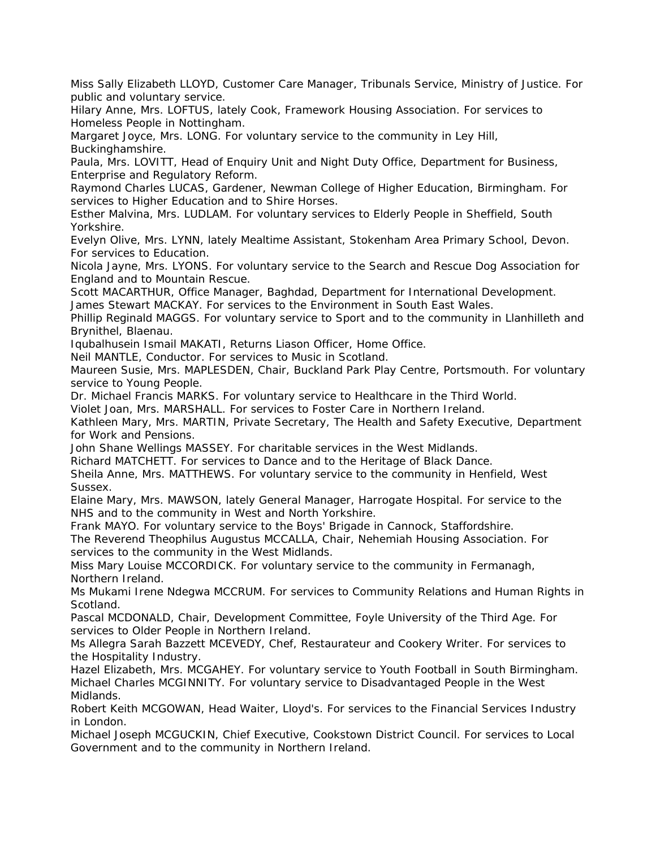Miss Sally Elizabeth LLOYD, Customer Care Manager, Tribunals Service, Ministry of Justice. For public and voluntary service.

Hilary Anne, Mrs. LOFTUS, lately Cook, Framework Housing Association. For services to Homeless People in Nottingham.

Margaret Joyce, Mrs. LONG. For voluntary service to the community in Ley Hill, Buckinghamshire.

Paula, Mrs. LOVITT, Head of Enquiry Unit and Night Duty Office, Department for Business, Enterprise and Regulatory Reform.

Raymond Charles LUCAS, Gardener, Newman College of Higher Education, Birmingham. For services to Higher Education and to Shire Horses.

Esther Malvina, Mrs. LUDLAM. For voluntary services to Elderly People in Sheffield, South Yorkshire.

Evelyn Olive, Mrs. LYNN, lately Mealtime Assistant, Stokenham Area Primary School, Devon. For services to Education.

Nicola Jayne, Mrs. LYONS. For voluntary service to the Search and Rescue Dog Association for England and to Mountain Rescue.

Scott MACARTHUR, Office Manager, Baghdad, Department for International Development. James Stewart MACKAY. For services to the Environment in South East Wales.

Phillip Reginald MAGGS. For voluntary service to Sport and to the community in Llanhilleth and Brynithel, Blaenau.

Iqubalhusein Ismail MAKATI, Returns Liason Officer, Home Office.

Neil MANTLE, Conductor. For services to Music in Scotland.

Maureen Susie, Mrs. MAPLESDEN, Chair, Buckland Park Play Centre, Portsmouth. For voluntary service to Young People.

Dr. Michael Francis MARKS. For voluntary service to Healthcare in the Third World.

Violet Joan, Mrs. MARSHALL. For services to Foster Care in Northern Ireland.

Kathleen Mary, Mrs. MARTIN, Private Secretary, The Health and Safety Executive, Department for Work and Pensions.

John Shane Wellings MASSEY. For charitable services in the West Midlands.

Richard MATCHETT. For services to Dance and to the Heritage of Black Dance.

Sheila Anne, Mrs. MATTHEWS. For voluntary service to the community in Henfield, West Sussex.

Elaine Mary, Mrs. MAWSON, lately General Manager, Harrogate Hospital. For service to the NHS and to the community in West and North Yorkshire.

Frank MAYO. For voluntary service to the Boys' Brigade in Cannock, Staffordshire.

The Reverend Theophilus Augustus MCCALLA, Chair, Nehemiah Housing Association. For services to the community in the West Midlands.

Miss Mary Louise MCCORDICK. For voluntary service to the community in Fermanagh, Northern Ireland.

Ms Mukami Irene Ndegwa MCCRUM. For services to Community Relations and Human Rights in Scotland.

Pascal MCDONALD, Chair, Development Committee, Foyle University of the Third Age. For services to Older People in Northern Ireland.

Ms Allegra Sarah Bazzett MCEVEDY, Chef, Restaurateur and Cookery Writer. For services to the Hospitality Industry.

Hazel Elizabeth, Mrs. MCGAHEY. For voluntary service to Youth Football in South Birmingham. Michael Charles MCGINNITY. For voluntary service to Disadvantaged People in the West Midlands.

Robert Keith MCGOWAN, Head Waiter, Lloyd's. For services to the Financial Services Industry in London.

Michael Joseph MCGUCKIN, Chief Executive, Cookstown District Council. For services to Local Government and to the community in Northern Ireland.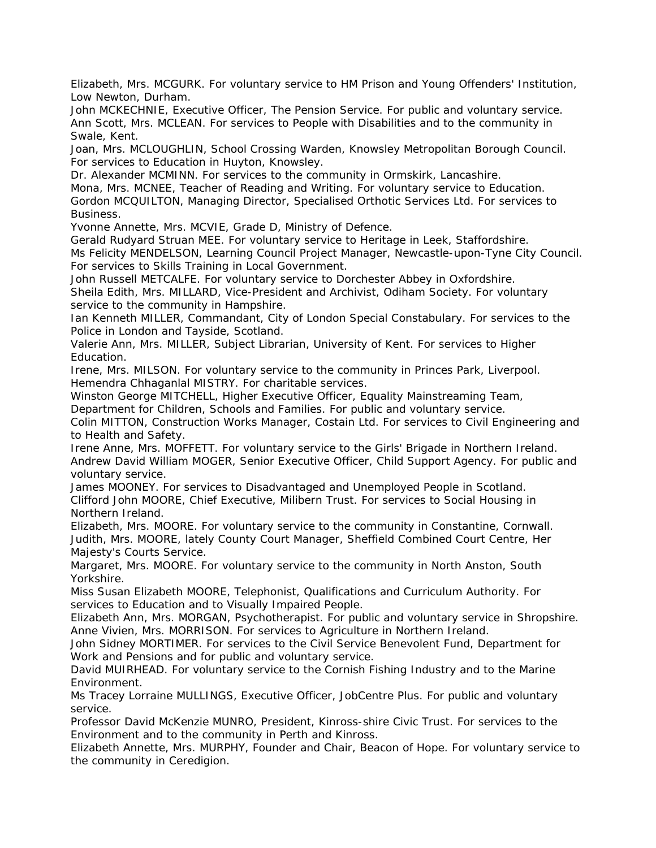Elizabeth, Mrs. MCGURK. For voluntary service to HM Prison and Young Offenders' Institution, Low Newton, Durham.

John MCKECHNIE, Executive Officer, The Pension Service. For public and voluntary service. Ann Scott, Mrs. MCLEAN. For services to People with Disabilities and to the community in Swale, Kent.

Joan, Mrs. MCLOUGHLIN, School Crossing Warden, Knowsley Metropolitan Borough Council. For services to Education in Huyton, Knowsley.

Dr. Alexander MCMINN. For services to the community in Ormskirk, Lancashire.

Mona, Mrs. MCNEE, Teacher of Reading and Writing. For voluntary service to Education. Gordon MCQUILTON, Managing Director, Specialised Orthotic Services Ltd. For services to Business.

Yvonne Annette, Mrs. MCVIE, Grade D, Ministry of Defence.

Gerald Rudyard Struan MEE. For voluntary service to Heritage in Leek, Staffordshire. Ms Felicity MENDELSON, Learning Council Project Manager, Newcastle-upon-Tyne City Council. For services to Skills Training in Local Government.

John Russell METCALFE. For voluntary service to Dorchester Abbey in Oxfordshire. Sheila Edith, Mrs. MILLARD, Vice-President and Archivist, Odiham Society. For voluntary service to the community in Hampshire.

Ian Kenneth MILLER, Commandant, City of London Special Constabulary. For services to the Police in London and Tayside, Scotland.

Valerie Ann, Mrs. MILLER, Subject Librarian, University of Kent. For services to Higher Education.

Irene, Mrs. MILSON. For voluntary service to the community in Princes Park, Liverpool. Hemendra Chhaganlal MISTRY. For charitable services.

Winston George MITCHELL, Higher Executive Officer, Equality Mainstreaming Team,

Department for Children, Schools and Families. For public and voluntary service.

Colin MITTON, Construction Works Manager, Costain Ltd. For services to Civil Engineering and to Health and Safety.

Irene Anne, Mrs. MOFFETT. For voluntary service to the Girls' Brigade in Northern Ireland. Andrew David William MOGER, Senior Executive Officer, Child Support Agency. For public and voluntary service.

James MOONEY. For services to Disadvantaged and Unemployed People in Scotland. Clifford John MOORE, Chief Executive, Milibern Trust. For services to Social Housing in Northern Ireland.

Elizabeth, Mrs. MOORE. For voluntary service to the community in Constantine, Cornwall. Judith, Mrs. MOORE, lately County Court Manager, Sheffield Combined Court Centre, Her Majesty's Courts Service.

Margaret, Mrs. MOORE. For voluntary service to the community in North Anston, South Yorkshire.

Miss Susan Elizabeth MOORE, Telephonist, Qualifications and Curriculum Authority. For services to Education and to Visually Impaired People.

Elizabeth Ann, Mrs. MORGAN, Psychotherapist. For public and voluntary service in Shropshire. Anne Vivien, Mrs. MORRISON. For services to Agriculture in Northern Ireland.

John Sidney MORTIMER. For services to the Civil Service Benevolent Fund, Department for Work and Pensions and for public and voluntary service.

David MUIRHEAD. For voluntary service to the Cornish Fishing Industry and to the Marine Environment.

Ms Tracey Lorraine MULLINGS, Executive Officer, JobCentre Plus. For public and voluntary service.

Professor David McKenzie MUNRO, President, Kinross-shire Civic Trust. For services to the Environment and to the community in Perth and Kinross.

Elizabeth Annette, Mrs. MURPHY, Founder and Chair, Beacon of Hope. For voluntary service to the community in Ceredigion.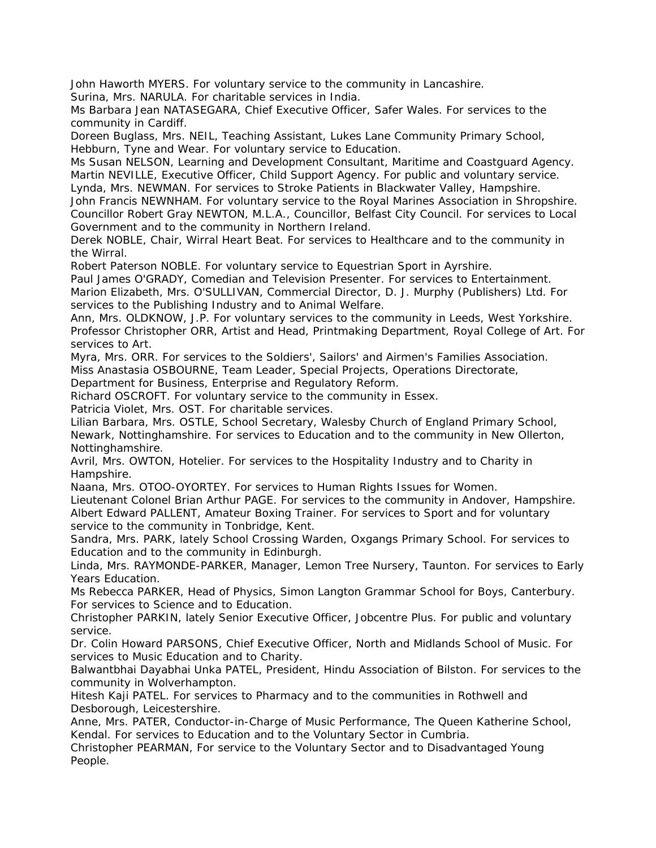John Haworth MYERS. For voluntary service to the community in Lancashire.

Surina, Mrs. NARULA. For charitable services in India.

Ms Barbara Jean NATASEGARA, Chief Executive Officer, Safer Wales. For services to the community in Cardiff.

Doreen Buglass, Mrs. NEIL, Teaching Assistant, Lukes Lane Community Primary School, Hebburn, Tyne and Wear. For voluntary service to Education.

Ms Susan NELSON, Learning and Development Consultant, Maritime and Coastguard Agency. Martin NEVILLE, Executive Officer, Child Support Agency. For public and voluntary service. Lynda, Mrs. NEWMAN. For services to Stroke Patients in Blackwater Valley, Hampshire.

John Francis NEWNHAM. For voluntary service to the Royal Marines Association in Shropshire. Councillor Robert Gray NEWTON, M.L.A., Councillor, Belfast City Council. For services to Local Government and to the community in Northern Ireland.

Derek NOBLE, Chair, Wirral Heart Beat. For services to Healthcare and to the community in the Wirral.

Robert Paterson NOBLE. For voluntary service to Equestrian Sport in Ayrshire.

Paul James O'GRADY, Comedian and Television Presenter. For services to Entertainment. Marion Elizabeth, Mrs. O'SULLIVAN, Commercial Director, D. J. Murphy (Publishers) Ltd. For services to the Publishing Industry and to Animal Welfare.

Ann, Mrs. OLDKNOW, J.P. For voluntary services to the community in Leeds, West Yorkshire. Professor Christopher ORR, Artist and Head, Printmaking Department, Royal College of Art. For services to Art.

Myra, Mrs. ORR. For services to the Soldiers', Sailors' and Airmen's Families Association. Miss Anastasia OSBOURNE, Team Leader, Special Projects, Operations Directorate,

Department for Business, Enterprise and Regulatory Reform.

Richard OSCROFT. For voluntary service to the community in Essex.

Patricia Violet, Mrs. OST. For charitable services.

Lilian Barbara, Mrs. OSTLE, School Secretary, Walesby Church of England Primary School, Newark, Nottinghamshire. For services to Education and to the community in New Ollerton, Nottinghamshire.

Avril, Mrs. OWTON, Hotelier. For services to the Hospitality Industry and to Charity in Hampshire.

Naana, Mrs. OTOO-OYORTEY. For services to Human Rights Issues for Women.

Lieutenant Colonel Brian Arthur PAGE. For services to the community in Andover, Hampshire. Albert Edward PALLENT, Amateur Boxing Trainer. For services to Sport and for voluntary service to the community in Tonbridge, Kent.

Sandra, Mrs. PARK, lately School Crossing Warden, Oxgangs Primary School. For services to Education and to the community in Edinburgh.

Linda, Mrs. RAYMONDE-PARKER, Manager, Lemon Tree Nursery, Taunton. For services to Early Years Education.

Ms Rebecca PARKER, Head of Physics, Simon Langton Grammar School for Boys, Canterbury. For services to Science and to Education.

Christopher PARKIN, lately Senior Executive Officer, Jobcentre Plus. For public and voluntary service.

Dr. Colin Howard PARSONS, Chief Executive Officer, North and Midlands School of Music. For services to Music Education and to Charity.

Balwantbhai Dayabhai Unka PATEL, President, Hindu Association of Bilston. For services to the community in Wolverhampton.

Hitesh Kaji PATEL. For services to Pharmacy and to the communities in Rothwell and Desborough, Leicestershire.

Anne, Mrs. PATER, Conductor-in-Charge of Music Performance, The Queen Katherine School, Kendal. For services to Education and to the Voluntary Sector in Cumbria.

Christopher PEARMAN, For service to the Voluntary Sector and to Disadvantaged Young People.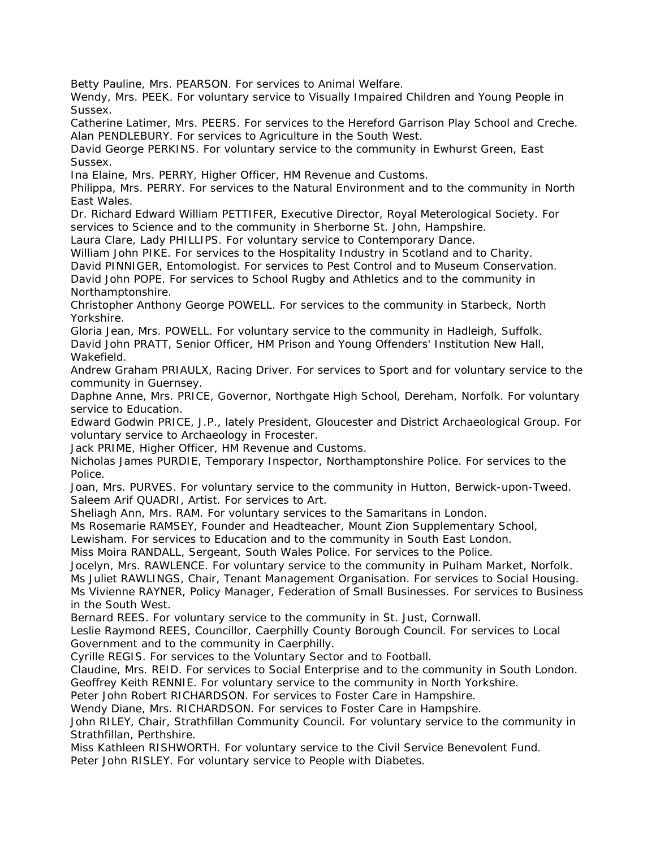Betty Pauline, Mrs. PEARSON. For services to Animal Welfare.

Wendy, Mrs. PEEK. For voluntary service to Visually Impaired Children and Young People in Sussex.

Catherine Latimer, Mrs. PEERS. For services to the Hereford Garrison Play School and Creche. Alan PENDLEBURY. For services to Agriculture in the South West.

David George PERKINS. For voluntary service to the community in Ewhurst Green, East Sussex.

Ina Elaine, Mrs. PERRY, Higher Officer, HM Revenue and Customs.

Philippa, Mrs. PERRY. For services to the Natural Environment and to the community in North East Wales.

Dr. Richard Edward William PETTIFER, Executive Director, Royal Meterological Society. For services to Science and to the community in Sherborne St. John, Hampshire.

Laura Clare, Lady PHILLIPS. For voluntary service to Contemporary Dance.

William John PIKE. For services to the Hospitality Industry in Scotland and to Charity.

David PINNIGER, Entomologist. For services to Pest Control and to Museum Conservation. David John POPE. For services to School Rugby and Athletics and to the community in

Northamptonshire.

Christopher Anthony George POWELL. For services to the community in Starbeck, North Yorkshire.

Gloria Jean, Mrs. POWELL. For voluntary service to the community in Hadleigh, Suffolk.

David John PRATT, Senior Officer, HM Prison and Young Offenders' Institution New Hall, Wakefield.

Andrew Graham PRIAULX, Racing Driver. For services to Sport and for voluntary service to the community in Guernsey.

Daphne Anne, Mrs. PRICE, Governor, Northgate High School, Dereham, Norfolk. For voluntary service to Education.

Edward Godwin PRICE, J.P., lately President, Gloucester and District Archaeological Group. For voluntary service to Archaeology in Frocester.

Jack PRIME, Higher Officer, HM Revenue and Customs.

Nicholas James PURDIE, Temporary Inspector, Northamptonshire Police. For services to the Police.

Joan, Mrs. PURVES. For voluntary service to the community in Hutton, Berwick-upon-Tweed. Saleem Arif QUADRI, Artist. For services to Art.

Sheliagh Ann, Mrs. RAM. For voluntary services to the Samaritans in London.

Ms Rosemarie RAMSEY, Founder and Headteacher, Mount Zion Supplementary School,

Lewisham. For services to Education and to the community in South East London.

Miss Moira RANDALL, Sergeant, South Wales Police. For services to the Police.

Jocelyn, Mrs. RAWLENCE. For voluntary service to the community in Pulham Market, Norfolk.

Ms Juliet RAWLINGS, Chair, Tenant Management Organisation. For services to Social Housing. Ms Vivienne RAYNER, Policy Manager, Federation of Small Businesses. For services to Business in the South West.

Bernard REES. For voluntary service to the community in St. Just, Cornwall.

Leslie Raymond REES, Councillor, Caerphilly County Borough Council. For services to Local Government and to the community in Caerphilly.

Cyrille REGIS. For services to the Voluntary Sector and to Football.

Claudine, Mrs. REID. For services to Social Enterprise and to the community in South London. Geoffrey Keith RENNIE. For voluntary service to the community in North Yorkshire.

Peter John Robert RICHARDSON. For services to Foster Care in Hampshire.

Wendy Diane, Mrs. RICHARDSON. For services to Foster Care in Hampshire.

John RILEY, Chair, Strathfillan Community Council. For voluntary service to the community in Strathfillan, Perthshire.

Miss Kathleen RISHWORTH. For voluntary service to the Civil Service Benevolent Fund.

Peter John RISLEY. For voluntary service to People with Diabetes.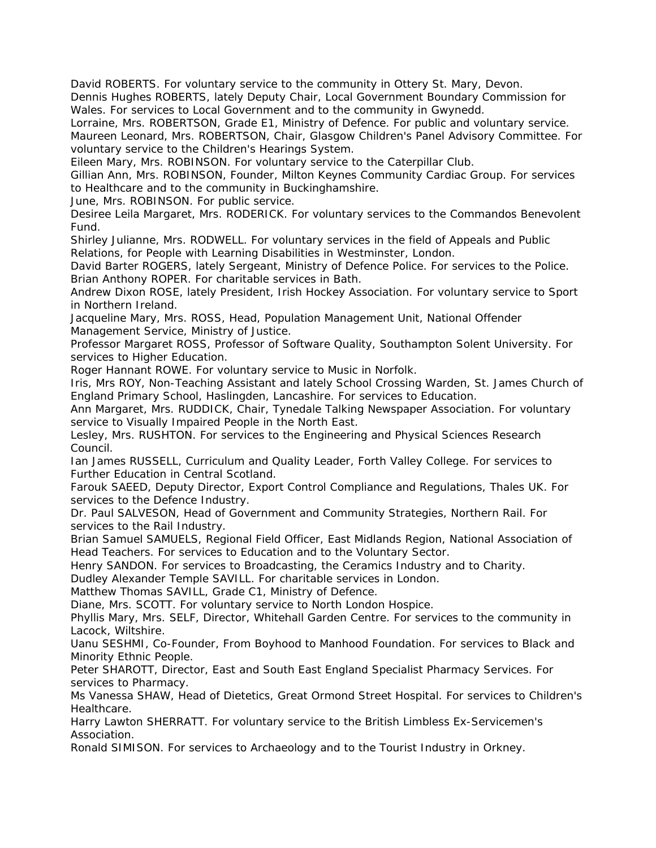David ROBERTS. For voluntary service to the community in Ottery St. Mary, Devon.

Dennis Hughes ROBERTS, lately Deputy Chair, Local Government Boundary Commission for Wales. For services to Local Government and to the community in Gwynedd.

Lorraine, Mrs. ROBERTSON, Grade E1, Ministry of Defence. For public and voluntary service. Maureen Leonard, Mrs. ROBERTSON, Chair, Glasgow Children's Panel Advisory Committee. For voluntary service to the Children's Hearings System.

Eileen Mary, Mrs. ROBINSON. For voluntary service to the Caterpillar Club.

Gillian Ann, Mrs. ROBINSON, Founder, Milton Keynes Community Cardiac Group. For services to Healthcare and to the community in Buckinghamshire.

June, Mrs. ROBINSON. For public service.

Desiree Leila Margaret, Mrs. RODERICK. For voluntary services to the Commandos Benevolent Fund.

Shirley Julianne, Mrs. RODWELL. For voluntary services in the field of Appeals and Public Relations, for People with Learning Disabilities in Westminster, London.

David Barter ROGERS, lately Sergeant, Ministry of Defence Police. For services to the Police. Brian Anthony ROPER. For charitable services in Bath.

Andrew Dixon ROSE, lately President, Irish Hockey Association. For voluntary service to Sport in Northern Ireland.

Jacqueline Mary, Mrs. ROSS, Head, Population Management Unit, National Offender Management Service, Ministry of Justice.

Professor Margaret ROSS, Professor of Software Quality, Southampton Solent University. For services to Higher Education.

Roger Hannant ROWE. For voluntary service to Music in Norfolk.

Iris, Mrs ROY, Non-Teaching Assistant and lately School Crossing Warden, St. James Church of England Primary School, Haslingden, Lancashire. For services to Education.

Ann Margaret, Mrs. RUDDICK, Chair, Tynedale Talking Newspaper Association. For voluntary service to Visually Impaired People in the North East.

Lesley, Mrs. RUSHTON. For services to the Engineering and Physical Sciences Research Council.

Ian James RUSSELL, Curriculum and Quality Leader, Forth Valley College. For services to Further Education in Central Scotland.

Farouk SAEED, Deputy Director, Export Control Compliance and Regulations, Thales UK. For services to the Defence Industry.

Dr. Paul SALVESON, Head of Government and Community Strategies, Northern Rail. For services to the Rail Industry.

Brian Samuel SAMUELS, Regional Field Officer, East Midlands Region, National Association of Head Teachers. For services to Education and to the Voluntary Sector.

Henry SANDON. For services to Broadcasting, the Ceramics Industry and to Charity.

Dudley Alexander Temple SAVILL. For charitable services in London.

Matthew Thomas SAVILL, Grade C1, Ministry of Defence.

Diane, Mrs. SCOTT. For voluntary service to North London Hospice.

Phyllis Mary, Mrs. SELF, Director, Whitehall Garden Centre. For services to the community in Lacock, Wiltshire.

Uanu SESHMI, Co-Founder, From Boyhood to Manhood Foundation. For services to Black and Minority Ethnic People.

Peter SHAROTT, Director, East and South East England Specialist Pharmacy Services. For services to Pharmacy.

Ms Vanessa SHAW, Head of Dietetics, Great Ormond Street Hospital. For services to Children's Healthcare.

Harry Lawton SHERRATT. For voluntary service to the British Limbless Ex-Servicemen's Association.

Ronald SIMISON. For services to Archaeology and to the Tourist Industry in Orkney.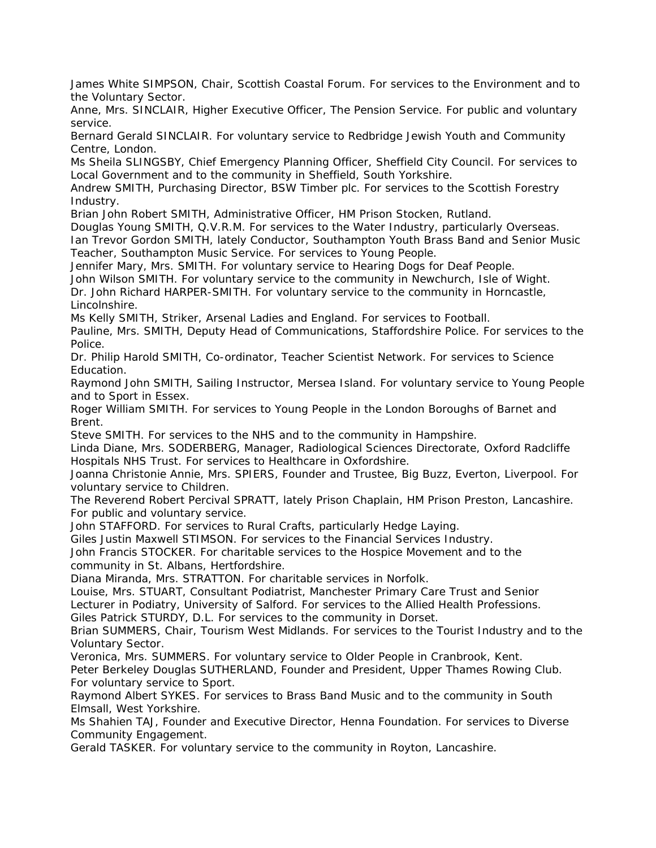James White SIMPSON, Chair, Scottish Coastal Forum. For services to the Environment and to the Voluntary Sector.

Anne, Mrs. SINCLAIR, Higher Executive Officer, The Pension Service. For public and voluntary service.

Bernard Gerald SINCLAIR. For voluntary service to Redbridge Jewish Youth and Community Centre, London.

Ms Sheila SLINGSBY, Chief Emergency Planning Officer, Sheffield City Council. For services to Local Government and to the community in Sheffield, South Yorkshire.

Andrew SMITH, Purchasing Director, BSW Timber plc. For services to the Scottish Forestry Industry.

Brian John Robert SMITH, Administrative Officer, HM Prison Stocken, Rutland.

Douglas Young SMITH, Q.V.R.M. For services to the Water Industry, particularly Overseas. Ian Trevor Gordon SMITH, lately Conductor, Southampton Youth Brass Band and Senior Music Teacher, Southampton Music Service. For services to Young People.

Jennifer Mary, Mrs. SMITH. For voluntary service to Hearing Dogs for Deaf People.

John Wilson SMITH. For voluntary service to the community in Newchurch, Isle of Wight.

Dr. John Richard HARPER-SMITH. For voluntary service to the community in Horncastle, Lincolnshire.

Ms Kelly SMITH, Striker, Arsenal Ladies and England. For services to Football.

Pauline, Mrs. SMITH, Deputy Head of Communications, Staffordshire Police. For services to the Police.

Dr. Philip Harold SMITH, Co-ordinator, Teacher Scientist Network. For services to Science Education.

Raymond John SMITH, Sailing Instructor, Mersea Island. For voluntary service to Young People and to Sport in Essex.

Roger William SMITH. For services to Young People in the London Boroughs of Barnet and Brent.

Steve SMITH. For services to the NHS and to the community in Hampshire.

Linda Diane, Mrs. SODERBERG, Manager, Radiological Sciences Directorate, Oxford Radcliffe Hospitals NHS Trust. For services to Healthcare in Oxfordshire.

Joanna Christonie Annie, Mrs. SPIERS, Founder and Trustee, Big Buzz, Everton, Liverpool. For voluntary service to Children.

The Reverend Robert Percival SPRATT, lately Prison Chaplain, HM Prison Preston, Lancashire. For public and voluntary service.

John STAFFORD. For services to Rural Crafts, particularly Hedge Laying.

Giles Justin Maxwell STIMSON. For services to the Financial Services Industry.

John Francis STOCKER. For charitable services to the Hospice Movement and to the community in St. Albans, Hertfordshire.

Diana Miranda, Mrs. STRATTON. For charitable services in Norfolk.

Louise, Mrs. STUART, Consultant Podiatrist, Manchester Primary Care Trust and Senior Lecturer in Podiatry, University of Salford. For services to the Allied Health Professions.

Giles Patrick STURDY, D.L. For services to the community in Dorset.

Brian SUMMERS, Chair, Tourism West Midlands. For services to the Tourist Industry and to the Voluntary Sector.

Veronica, Mrs. SUMMERS. For voluntary service to Older People in Cranbrook, Kent.

Peter Berkeley Douglas SUTHERLAND, Founder and President, Upper Thames Rowing Club. For voluntary service to Sport.

Raymond Albert SYKES. For services to Brass Band Music and to the community in South Elmsall, West Yorkshire.

Ms Shahien TAJ, Founder and Executive Director, Henna Foundation. For services to Diverse Community Engagement.

Gerald TASKER. For voluntary service to the community in Royton, Lancashire.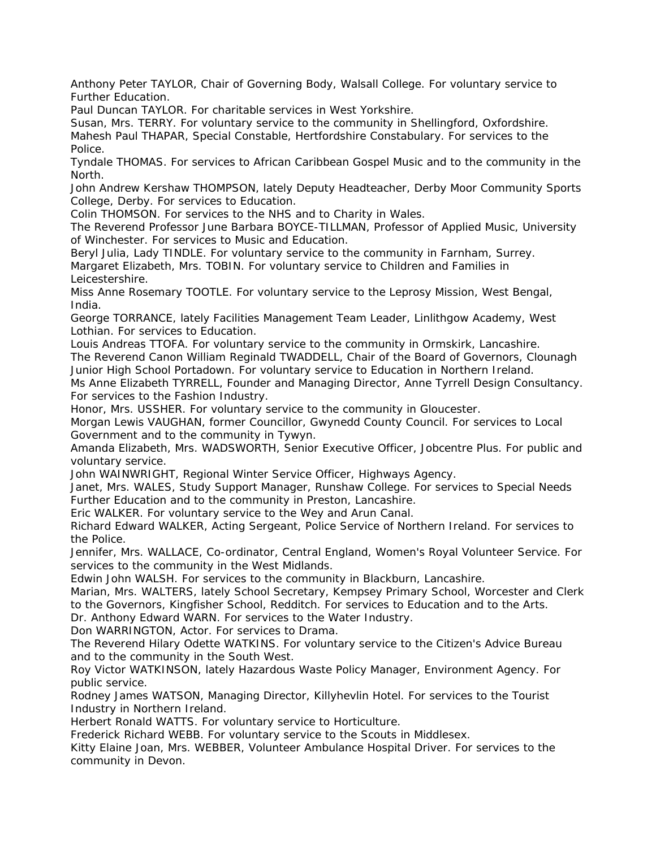Anthony Peter TAYLOR, Chair of Governing Body, Walsall College. For voluntary service to Further Education.

Paul Duncan TAYLOR. For charitable services in West Yorkshire.

Susan, Mrs. TERRY. For voluntary service to the community in Shellingford, Oxfordshire. Mahesh Paul THAPAR, Special Constable, Hertfordshire Constabulary. For services to the Police.

Tyndale THOMAS. For services to African Caribbean Gospel Music and to the community in the North.

John Andrew Kershaw THOMPSON, lately Deputy Headteacher, Derby Moor Community Sports College, Derby. For services to Education.

Colin THOMSON. For services to the NHS and to Charity in Wales.

The Reverend Professor June Barbara BOYCE-TILLMAN, Professor of Applied Music, University of Winchester. For services to Music and Education.

Beryl Julia, Lady TINDLE. For voluntary service to the community in Farnham, Surrey. Margaret Elizabeth, Mrs. TOBIN. For voluntary service to Children and Families in Leicestershire.

Miss Anne Rosemary TOOTLE. For voluntary service to the Leprosy Mission, West Bengal, India.

George TORRANCE, lately Facilities Management Team Leader, Linlithgow Academy, West Lothian. For services to Education.

Louis Andreas TTOFA. For voluntary service to the community in Ormskirk, Lancashire. The Reverend Canon William Reginald TWADDELL, Chair of the Board of Governors, Clounagh Junior High School Portadown. For voluntary service to Education in Northern Ireland.

Ms Anne Elizabeth TYRRELL, Founder and Managing Director, Anne Tyrrell Design Consultancy. For services to the Fashion Industry.

Honor, Mrs. USSHER. For voluntary service to the community in Gloucester.

Morgan Lewis VAUGHAN, former Councillor, Gwynedd County Council. For services to Local Government and to the community in Tywyn.

Amanda Elizabeth, Mrs. WADSWORTH, Senior Executive Officer, Jobcentre Plus. For public and voluntary service.

John WAINWRIGHT, Regional Winter Service Officer, Highways Agency.

Janet, Mrs. WALES, Study Support Manager, Runshaw College. For services to Special Needs Further Education and to the community in Preston, Lancashire.

Eric WALKER. For voluntary service to the Wey and Arun Canal.

Richard Edward WALKER, Acting Sergeant, Police Service of Northern Ireland. For services to the Police.

Jennifer, Mrs. WALLACE, Co-ordinator, Central England, Women's Royal Volunteer Service. For services to the community in the West Midlands.

Edwin John WALSH. For services to the community in Blackburn, Lancashire.

Marian, Mrs. WALTERS, lately School Secretary, Kempsey Primary School, Worcester and Clerk to the Governors, Kingfisher School, Redditch. For services to Education and to the Arts.

Dr. Anthony Edward WARN. For services to the Water Industry.

Don WARRINGTON, Actor. For services to Drama.

The Reverend Hilary Odette WATKINS. For voluntary service to the Citizen's Advice Bureau and to the community in the South West.

Roy Victor WATKINSON, lately Hazardous Waste Policy Manager, Environment Agency. For public service.

Rodney James WATSON, Managing Director, Killyhevlin Hotel. For services to the Tourist Industry in Northern Ireland.

Herbert Ronald WATTS. For voluntary service to Horticulture.

Frederick Richard WEBB. For voluntary service to the Scouts in Middlesex.

Kitty Elaine Joan, Mrs. WEBBER, Volunteer Ambulance Hospital Driver. For services to the community in Devon.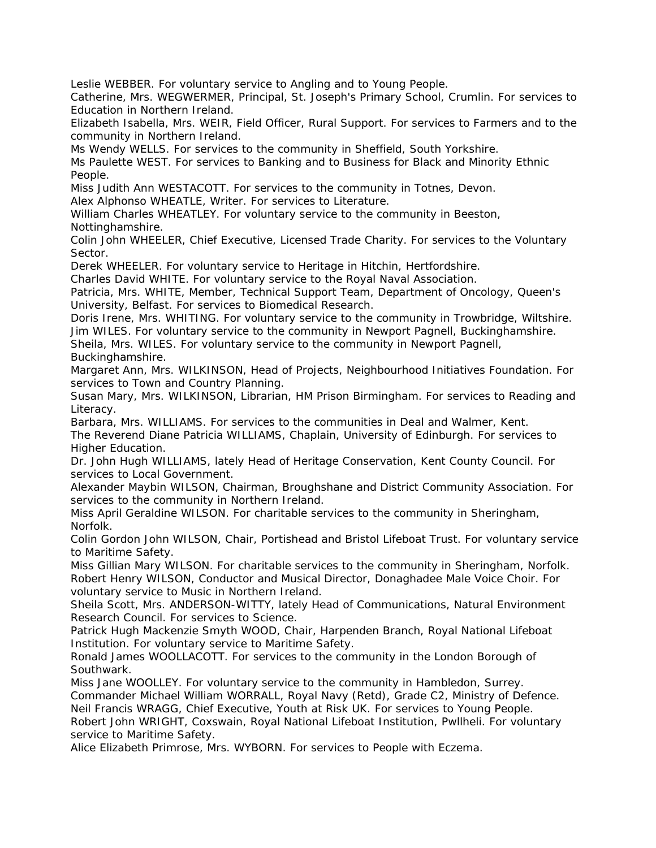Leslie WEBBER. For voluntary service to Angling and to Young People.

Catherine, Mrs. WEGWERMER, Principal, St. Joseph's Primary School, Crumlin. For services to Education in Northern Ireland.

Elizabeth Isabella, Mrs. WEIR, Field Officer, Rural Support. For services to Farmers and to the community in Northern Ireland.

Ms Wendy WELLS. For services to the community in Sheffield, South Yorkshire.

Ms Paulette WEST. For services to Banking and to Business for Black and Minority Ethnic People.

Miss Judith Ann WESTACOTT. For services to the community in Totnes, Devon.

Alex Alphonso WHEATLE, Writer. For services to Literature.

William Charles WHEATLEY. For voluntary service to the community in Beeston, Nottinghamshire.

Colin John WHEELER, Chief Executive, Licensed Trade Charity. For services to the Voluntary Sector.

Derek WHEELER. For voluntary service to Heritage in Hitchin, Hertfordshire.

Charles David WHITE. For voluntary service to the Royal Naval Association.

Patricia, Mrs. WHITE, Member, Technical Support Team, Department of Oncology, Queen's University, Belfast. For services to Biomedical Research.

Doris Irene, Mrs. WHITING. For voluntary service to the community in Trowbridge, Wiltshire. Jim WILES. For voluntary service to the community in Newport Pagnell, Buckinghamshire.

Sheila, Mrs. WILES. For voluntary service to the community in Newport Pagnell, Buckinghamshire.

Margaret Ann, Mrs. WILKINSON, Head of Projects, Neighbourhood Initiatives Foundation. For services to Town and Country Planning.

Susan Mary, Mrs. WILKINSON, Librarian, HM Prison Birmingham. For services to Reading and Literacy.

Barbara, Mrs. WILLIAMS. For services to the communities in Deal and Walmer, Kent. The Reverend Diane Patricia WILLIAMS, Chaplain, University of Edinburgh. For services to Higher Education.

Dr. John Hugh WILLIAMS, lately Head of Heritage Conservation, Kent County Council. For services to Local Government.

Alexander Maybin WILSON, Chairman, Broughshane and District Community Association. For services to the community in Northern Ireland.

Miss April Geraldine WILSON. For charitable services to the community in Sheringham, Norfolk.

Colin Gordon John WILSON, Chair, Portishead and Bristol Lifeboat Trust. For voluntary service to Maritime Safety.

Miss Gillian Mary WILSON. For charitable services to the community in Sheringham, Norfolk. Robert Henry WILSON, Conductor and Musical Director, Donaghadee Male Voice Choir. For voluntary service to Music in Northern Ireland.

Sheila Scott, Mrs. ANDERSON-WITTY, lately Head of Communications, Natural Environment Research Council. For services to Science.

Patrick Hugh Mackenzie Smyth WOOD, Chair, Harpenden Branch, Royal National Lifeboat Institution. For voluntary service to Maritime Safety.

Ronald James WOOLLACOTT. For services to the community in the London Borough of Southwark.

Miss Jane WOOLLEY. For voluntary service to the community in Hambledon, Surrey. Commander Michael William WORRALL, Royal Navy (Retd), Grade C2, Ministry of Defence. Neil Francis WRAGG, Chief Executive, Youth at Risk UK. For services to Young People. Robert John WRIGHT, Coxswain, Royal National Lifeboat Institution, Pwllheli. For voluntary service to Maritime Safety.

Alice Elizabeth Primrose, Mrs. WYBORN. For services to People with Eczema.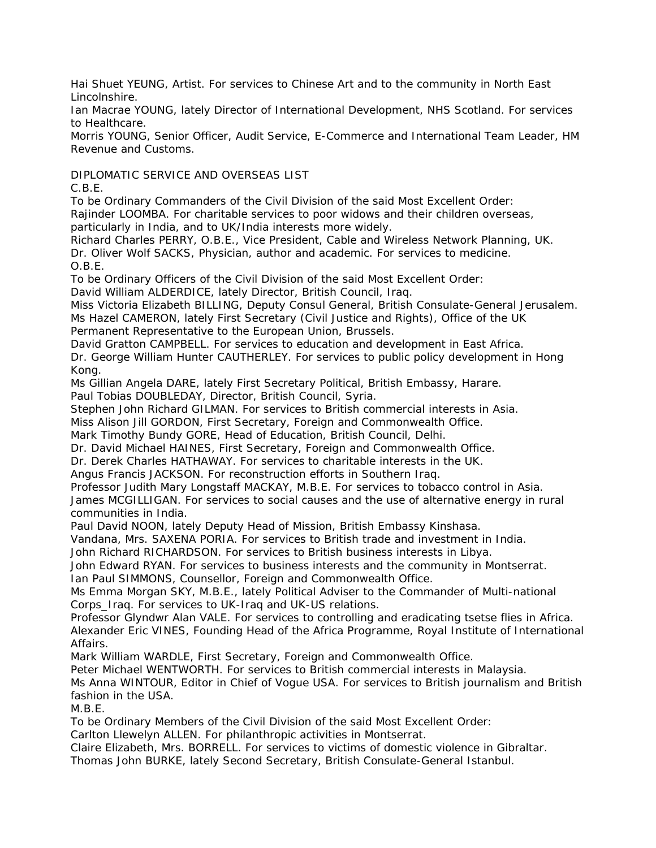Hai Shuet YEUNG, Artist. For services to Chinese Art and to the community in North East Lincolnshire.

Ian Macrae YOUNG, lately Director of International Development, NHS Scotland. For services to Healthcare.

Morris YOUNG, Senior Officer, Audit Service, E-Commerce and International Team Leader, HM Revenue and Customs.

DIPLOMATIC SERVICE AND OVERSEAS LIST

C.B.E.

To be Ordinary Commanders of the Civil Division of the said Most Excellent Order:

Rajinder LOOMBA. For charitable services to poor widows and their children overseas,

particularly in India, and to UK/India interests more widely.

Richard Charles PERRY, O.B.E., Vice President, Cable and Wireless Network Planning, UK. Dr. Oliver Wolf SACKS, Physician, author and academic. For services to medicine. O.B.E.

To be Ordinary Officers of the Civil Division of the said Most Excellent Order:

David William ALDERDICE, lately Director, British Council, Iraq.

Miss Victoria Elizabeth BILLING, Deputy Consul General, British Consulate-General Jerusalem. Ms Hazel CAMERON, lately First Secretary (Civil Justice and Rights), Office of the UK Permanent Representative to the European Union, Brussels.

David Gratton CAMPBELL. For services to education and development in East Africa.

Dr. George William Hunter CAUTHERLEY. For services to public policy development in Hong Kong.

Ms Gillian Angela DARE, lately First Secretary Political, British Embassy, Harare.

Paul Tobias DOUBLEDAY, Director, British Council, Syria.

Stephen John Richard GILMAN. For services to British commercial interests in Asia.

Miss Alison Jill GORDON, First Secretary, Foreign and Commonwealth Office.

Mark Timothy Bundy GORE, Head of Education, British Council, Delhi.

Dr. David Michael HAINES, First Secretary, Foreign and Commonwealth Office.

Dr. Derek Charles HATHAWAY. For services to charitable interests in the UK.

Angus Francis JACKSON. For reconstruction efforts in Southern Iraq.

Professor Judith Mary Longstaff MACKAY, M.B.E. For services to tobacco control in Asia.

James MCGILLIGAN. For services to social causes and the use of alternative energy in rural communities in India.

Paul David NOON, lately Deputy Head of Mission, British Embassy Kinshasa.

Vandana, Mrs. SAXENA PORIA. For services to British trade and investment in India.

John Richard RICHARDSON. For services to British business interests in Libya.

John Edward RYAN. For services to business interests and the community in Montserrat.

Ian Paul SIMMONS, Counsellor, Foreign and Commonwealth Office.

Ms Emma Morgan SKY, M.B.E., lately Political Adviser to the Commander of Multi-national Corps\_Iraq. For services to UK-Iraq and UK-US relations.

Professor Glyndwr Alan VALE. For services to controlling and eradicating tsetse flies in Africa. Alexander Eric VINES, Founding Head of the Africa Programme, Royal Institute of International Affairs.

Mark William WARDLE, First Secretary, Foreign and Commonwealth Office.

Peter Michael WENTWORTH. For services to British commercial interests in Malaysia.

Ms Anna WINTOUR, Editor in Chief of Vogue USA. For services to British journalism and British fashion in the USA.

M.B.E.

To be Ordinary Members of the Civil Division of the said Most Excellent Order:

Carlton Llewelyn ALLEN. For philanthropic activities in Montserrat.

Claire Elizabeth, Mrs. BORRELL. For services to victims of domestic violence in Gibraltar. Thomas John BURKE, lately Second Secretary, British Consulate-General Istanbul.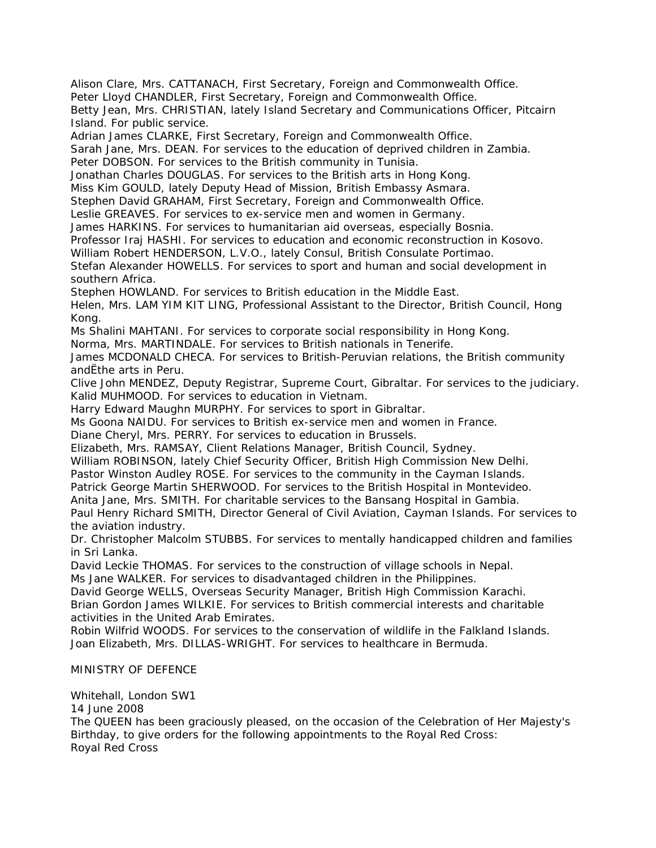Alison Clare, Mrs. CATTANACH, First Secretary, Foreign and Commonwealth Office.

Peter Lloyd CHANDLER, First Secretary, Foreign and Commonwealth Office.

Betty Jean, Mrs. CHRISTIAN, lately Island Secretary and Communications Officer, Pitcairn Island. For public service.

Adrian James CLARKE, First Secretary, Foreign and Commonwealth Office.

Sarah Jane, Mrs. DEAN. For services to the education of deprived children in Zambia.

Peter DOBSON. For services to the British community in Tunisia.

Jonathan Charles DOUGLAS. For services to the British arts in Hong Kong.

Miss Kim GOULD, lately Deputy Head of Mission, British Embassy Asmara.

Stephen David GRAHAM, First Secretary, Foreign and Commonwealth Office.

Leslie GREAVES. For services to ex-service men and women in Germany.

James HARKINS. For services to humanitarian aid overseas, especially Bosnia.

Professor Iraj HASHI. For services to education and economic reconstruction in Kosovo.

William Robert HENDERSON, L.V.O., lately Consul, British Consulate Portimao.

Stefan Alexander HOWELLS. For services to sport and human and social development in southern Africa.

Stephen HOWLAND. For services to British education in the Middle East.

Helen, Mrs. LAM YIM KIT LING, Professional Assistant to the Director, British Council, Hong Kong.

Ms Shalini MAHTANI. For services to corporate social responsibility in Hong Kong.

Norma, Mrs. MARTINDALE. For services to British nationals in Tenerife.

James MCDONALD CHECA. For services to British-Peruvian relations, the British community andËthe arts in Peru.

Clive John MENDEZ, Deputy Registrar, Supreme Court, Gibraltar. For services to the judiciary. Kalid MUHMOOD. For services to education in Vietnam.

Harry Edward Maughn MURPHY. For services to sport in Gibraltar.

Ms Goona NAIDU. For services to British ex-service men and women in France.

Diane Cheryl, Mrs. PERRY. For services to education in Brussels.

Elizabeth, Mrs. RAMSAY, Client Relations Manager, British Council, Sydney.

William ROBINSON, lately Chief Security Officer, British High Commission New Delhi.

Pastor Winston Audley ROSE. For services to the community in the Cayman Islands.

Patrick George Martin SHERWOOD. For services to the British Hospital in Montevideo.

Anita Jane, Mrs. SMITH. For charitable services to the Bansang Hospital in Gambia.

Paul Henry Richard SMITH, Director General of Civil Aviation, Cayman Islands. For services to the aviation industry.

Dr. Christopher Malcolm STUBBS. For services to mentally handicapped children and families in Sri Lanka.

David Leckie THOMAS. For services to the construction of village schools in Nepal.

Ms Jane WALKER. For services to disadvantaged children in the Philippines.

David George WELLS, Overseas Security Manager, British High Commission Karachi.

Brian Gordon James WILKIE. For services to British commercial interests and charitable activities in the United Arab Emirates.

Robin Wilfrid WOODS. For services to the conservation of wildlife in the Falkland Islands. Joan Elizabeth, Mrs. DILLAS-WRIGHT. For services to healthcare in Bermuda.

MINISTRY OF DEFENCE

Whitehall, London SW1

14 June 2008

The QUEEN has been graciously pleased, on the occasion of the Celebration of Her Majesty's Birthday, to give orders for the following appointments to the Royal Red Cross: Royal Red Cross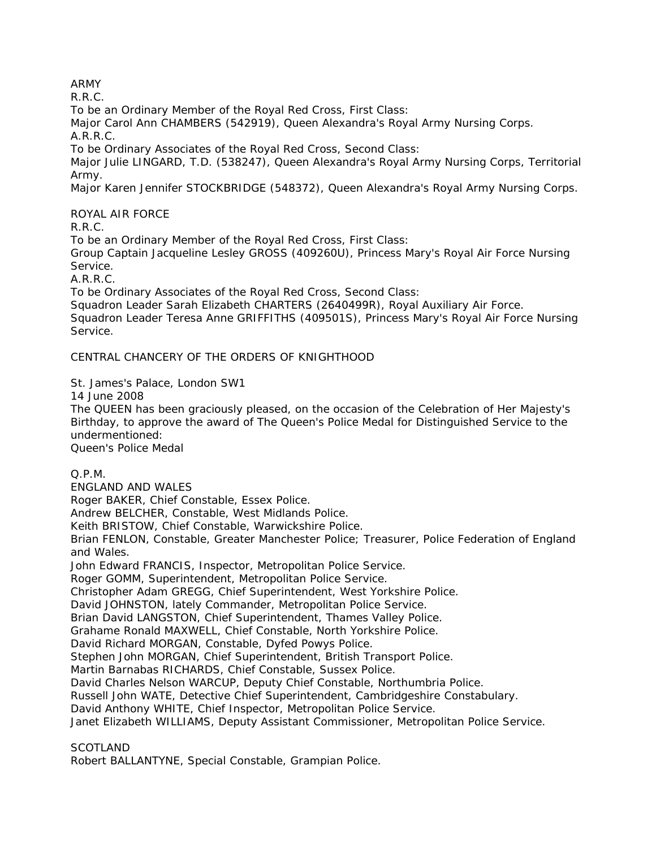# ARMY

R.R.C.

To be an Ordinary Member of the Royal Red Cross, First Class:

Major Carol Ann CHAMBERS (542919), Queen Alexandra's Royal Army Nursing Corps. A.R.R.C.

To be Ordinary Associates of the Royal Red Cross, Second Class:

Major Julie LINGARD, T.D. (538247), Queen Alexandra's Royal Army Nursing Corps, Territorial Army.

Major Karen Jennifer STOCKBRIDGE (548372), Queen Alexandra's Royal Army Nursing Corps.

ROYAL AIR FORCE

R.R.C.

To be an Ordinary Member of the Royal Red Cross, First Class:

Group Captain Jacqueline Lesley GROSS (409260U), Princess Mary's Royal Air Force Nursing Service.

A.R.R.C.

To be Ordinary Associates of the Royal Red Cross, Second Class:

Squadron Leader Sarah Elizabeth CHARTERS (2640499R), Royal Auxiliary Air Force. Squadron Leader Teresa Anne GRIFFITHS (409501S), Princess Mary's Royal Air Force Nursing Service.

## CENTRAL CHANCERY OF THE ORDERS OF KNIGHTHOOD

St. James's Palace, London SW1

14 June 2008

The QUEEN has been graciously pleased, on the occasion of the Celebration of Her Majesty's Birthday, to approve the award of The Queen's Police Medal for Distinguished Service to the undermentioned:

Queen's Police Medal

Q.P.M.

ENGLAND AND WALES Roger BAKER, Chief Constable, Essex Police. Andrew BELCHER, Constable, West Midlands Police. Keith BRISTOW, Chief Constable, Warwickshire Police. Brian FENLON, Constable, Greater Manchester Police; Treasurer, Police Federation of England and Wales. John Edward FRANCIS, Inspector, Metropolitan Police Service. Roger GOMM, Superintendent, Metropolitan Police Service. Christopher Adam GREGG, Chief Superintendent, West Yorkshire Police. David JOHNSTON, lately Commander, Metropolitan Police Service. Brian David LANGSTON, Chief Superintendent, Thames Valley Police. Grahame Ronald MAXWELL, Chief Constable, North Yorkshire Police. David Richard MORGAN, Constable, Dyfed Powys Police. Stephen John MORGAN, Chief Superintendent, British Transport Police. Martin Barnabas RICHARDS, Chief Constable, Sussex Police. David Charles Nelson WARCUP, Deputy Chief Constable, Northumbria Police. Russell John WATE, Detective Chief Superintendent, Cambridgeshire Constabulary. David Anthony WHITE, Chief Inspector, Metropolitan Police Service. Janet Elizabeth WILLIAMS, Deputy Assistant Commissioner, Metropolitan Police Service.

**SCOTLAND** 

Robert BALLANTYNE, Special Constable, Grampian Police.